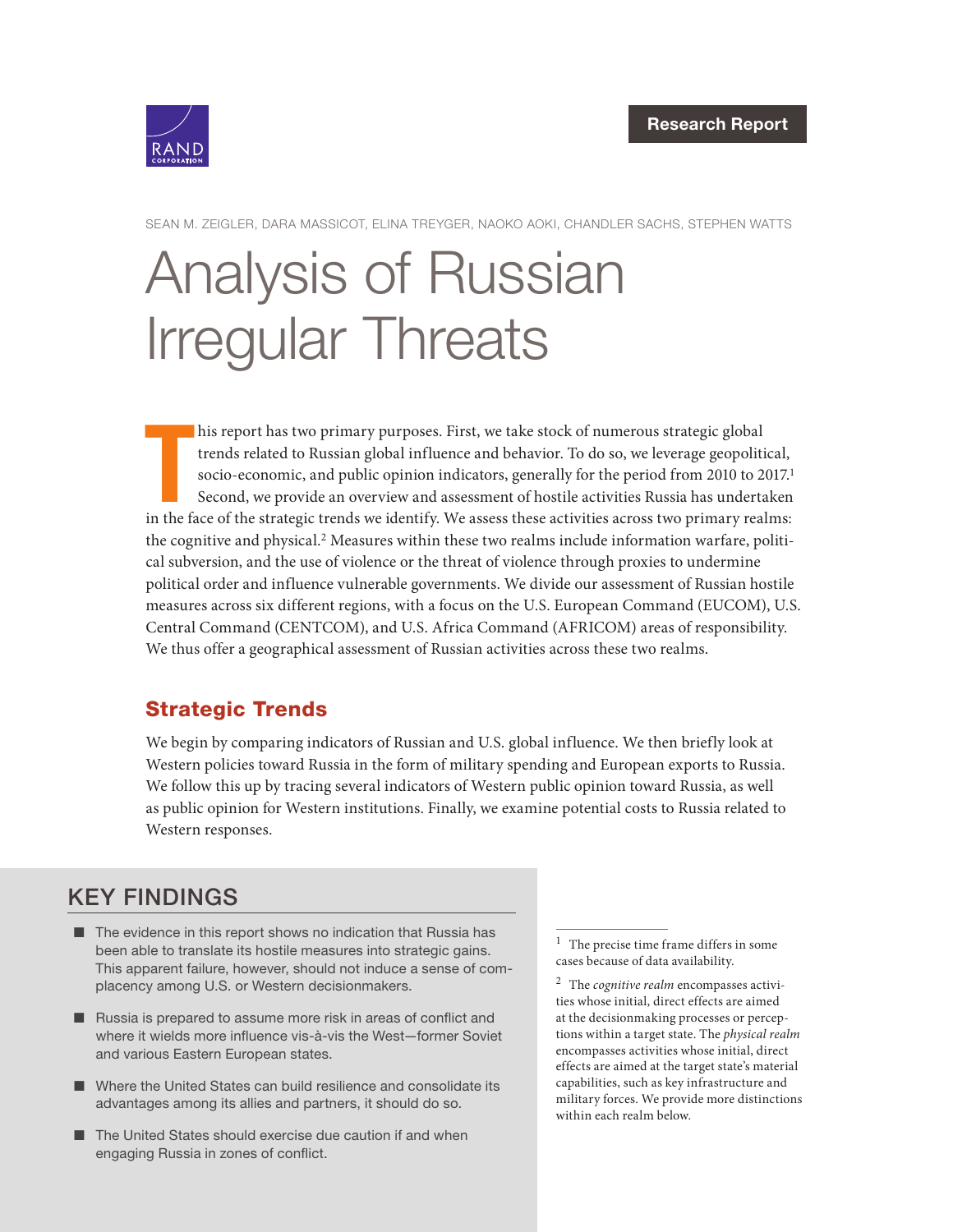

SEAN M. ZEIGLER, DARA MASSICOT, ELINA TREYGER, NAOKO AOKI, CHANDLER SACHS, STEPHEN WATTS

# [Analysis of Russian](https://www.rand.org/pubs/research_reports/RRA412-3.html)  Irregular Threats

his report has two primary purposes. First, we take stock of numerous strategic global trends related to Russian global influence and behavior. To do so, we leverage geopolitical, socio-economic, and public opinion indicat his report has two primary purposes. First, we take stock of numerous strategic global trends related to Russian global influence and behavior. To do so, we leverage geopolitical, socio-economic, and public opinion indicators, generally for the period from 2010 to 2017.<sup>1</sup> Second, we provide an overview and assessment of hostile activities Russia has undertaken the cognitive and physical.2 Measures within these two realms include information warfare, political subversion, and the use of violence or the threat of violence through proxies to undermine political order and influence vulnerable governments. We divide our assessment of Russian hostile measures across six different regions, with a focus on the U.S. European Command (EUCOM), U.S. Central Command (CENTCOM), and U.S. Africa Command (AFRICOM) areas of responsibility. We thus offer a geographical assessment of Russian activities across these two realms.

## Strategic Trends

We begin by comparing indicators of Russian and U.S. global influence. We then briefly look at Western policies toward Russia in the form of military spending and European exports to Russia. We follow this up by tracing several indicators of Western public opinion toward Russia, as well as public opinion for Western institutions. Finally, we examine potential costs to Russia related to Western responses.

# KEY FINDINGS

- The evidence in this report shows no indication that Russia has been able to translate its hostile measures into strategic gains. This apparent failure, however, should not induce a sense of complacency among U.S. or Western decisionmakers.
- Russia is prepared to assume more risk in areas of conflict and where it wields more influence vis-à-vis the West—former Soviet and various Eastern European states.
- Where the United States can build resilience and consolidate its advantages among its allies and partners, it should do so.
- The United States should exercise due caution if and when engaging Russia in zones of conflict.

 $^{\rm 1}~$  The precise time frame differs in some cases because of data availability.

<sup>2</sup> The *cognitive realm* encompasses activities whose initial, direct effects are aimed at the decisionmaking processes or perceptions within a target state. The *physical realm* encompasses activities whose initial, direct effects are aimed at the target state's material capabilities, such as key infrastructure and military forces. We provide more distinctions within each realm below.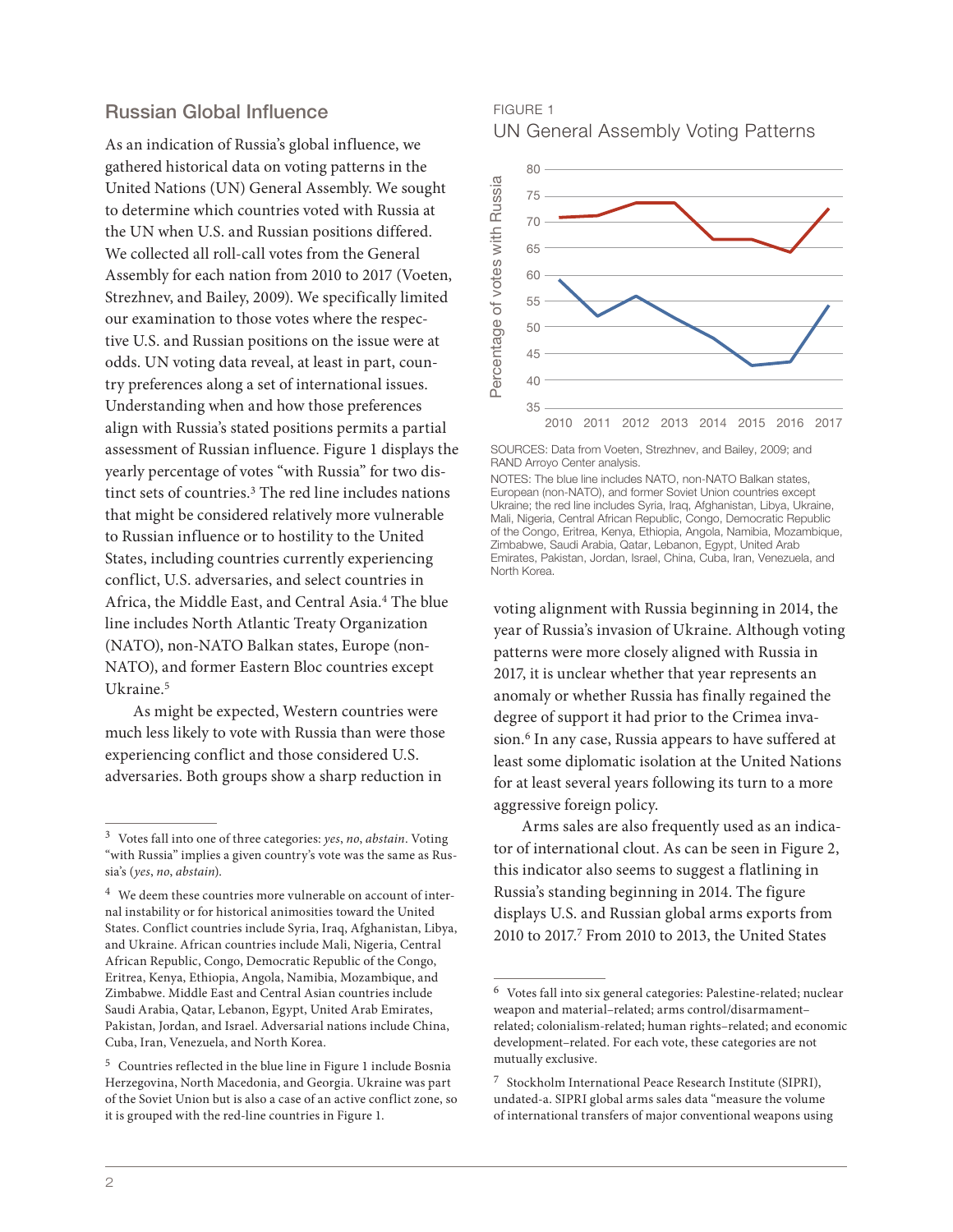#### Russian Global Influence

As an indication of Russia's global influence, we gathered historical data on voting patterns in the United Nations (UN) General Assembly. We sought to determine which countries voted with Russia at the UN when U.S. and Russian positions differed. We collected all roll-call votes from the General Assembly for each nation from 2010 to 2017 (Voeten, Strezhnev, and Bailey, 2009). We specifically limited our examination to those votes where the respective U.S. and Russian positions on the issue were at odds. UN voting data reveal, at least in part, country preferences along a set of international issues. Understanding when and how those preferences align with Russia's stated positions permits a partial assessment of Russian influence. Figure 1 displays the yearly percentage of votes "with Russia" for two distinct sets of countries.<sup>3</sup> The red line includes nations that might be considered relatively more vulnerable to Russian influence or to hostility to the United States, including countries currently experiencing conflict, U.S. adversaries, and select countries in Africa, the Middle East, and Central Asia.4 The blue line includes North Atlantic Treaty Organization (NATO), non-NATO Balkan states, Europe (non-NATO), and former Eastern Bloc countries except Ukraine.<sup>5</sup>

As might be expected, Western countries were much less likely to vote with Russia than were those experiencing conflict and those considered U.S. adversaries. Both groups show a sharp reduction in

#### FIGURE 1 UN General Assembly Voting Patterns



SOURCES: Data from Voeten, Strezhnev, and Bailey, 2009; and RAND Arroyo Center analysis.

voting alignment with Russia beginning in 2014, the year of Russia's invasion of Ukraine. Although voting patterns were more closely aligned with Russia in 2017, it is unclear whether that year represents an anomaly or whether Russia has finally regained the degree of support it had prior to the Crimea invasion.<sup>6</sup> In any case, Russia appears to have suffered at least some diplomatic isolation at the United Nations for at least several years following its turn to a more aggressive foreign policy.

Arms sales are also frequently used as an indicator of international clout. As can be seen in Figure 2, this indicator also seems to suggest a flatlining in Russia's standing beginning in 2014. The figure displays U.S. and Russian global arms exports from 2010 to 2017.7 From 2010 to 2013, the United States

<sup>3</sup> Votes fall into one of three categories: *yes*, *no*, *abstain*. Voting "with Russia" implies a given country's vote was the same as Russia's (*yes*, *no*, *abstain*).

 $^4\;$  We deem these countries more vulnerable on account of internal instability or for historical animosities toward the United States. Conflict countries include Syria, Iraq, Afghanistan, Libya, and Ukraine. African countries include Mali, Nigeria, Central African Republic, Congo, Democratic Republic of the Congo, Eritrea, Kenya, Ethiopia, Angola, Namibia, Mozambique, and Zimbabwe. Middle East and Central Asian countries include Saudi Arabia, Qatar, Lebanon, Egypt, United Arab Emirates, Pakistan, Jordan, and Israel. Adversarial nations include China, Cuba, Iran, Venezuela, and North Korea.

<sup>5</sup> Countries reflected in the blue line in Figure 1 include Bosnia Herzegovina, North Macedonia, and Georgia. Ukraine was part of the Soviet Union but is also a case of an active conflict zone, so it is grouped with the red-line countries in Figure 1.

NOTES: The blue line includes NATO, non-NATO Balkan states, European (non-NATO), and former Soviet Union countries except Ukraine; the red line includes Syria, Iraq, Afghanistan, Libya, Ukraine, Mali, Nigeria, Central African Republic, Congo, Democratic Republic of the Congo, Eritrea, Kenya, Ethiopia, Angola, Namibia, Mozambique, Zimbabwe, Saudi Arabia, Qatar, Lebanon, Egypt, United Arab Emirates, Pakistan, Jordan, Israel, China, Cuba, Iran, Venezuela, and North Korea.

 $^6\,$  Votes fall into six general categories: Palestine-related; nuclear weapon and material–related; arms control/disarmament– related; colonialism-related; human rights–related; and economic development–related. For each vote, these categories are not mutually exclusive.

<sup>7</sup> Stockholm International Peace Research Institute (SIPRI), undated-a. SIPRI global arms sales data "measure the volume of international transfers of major conventional weapons using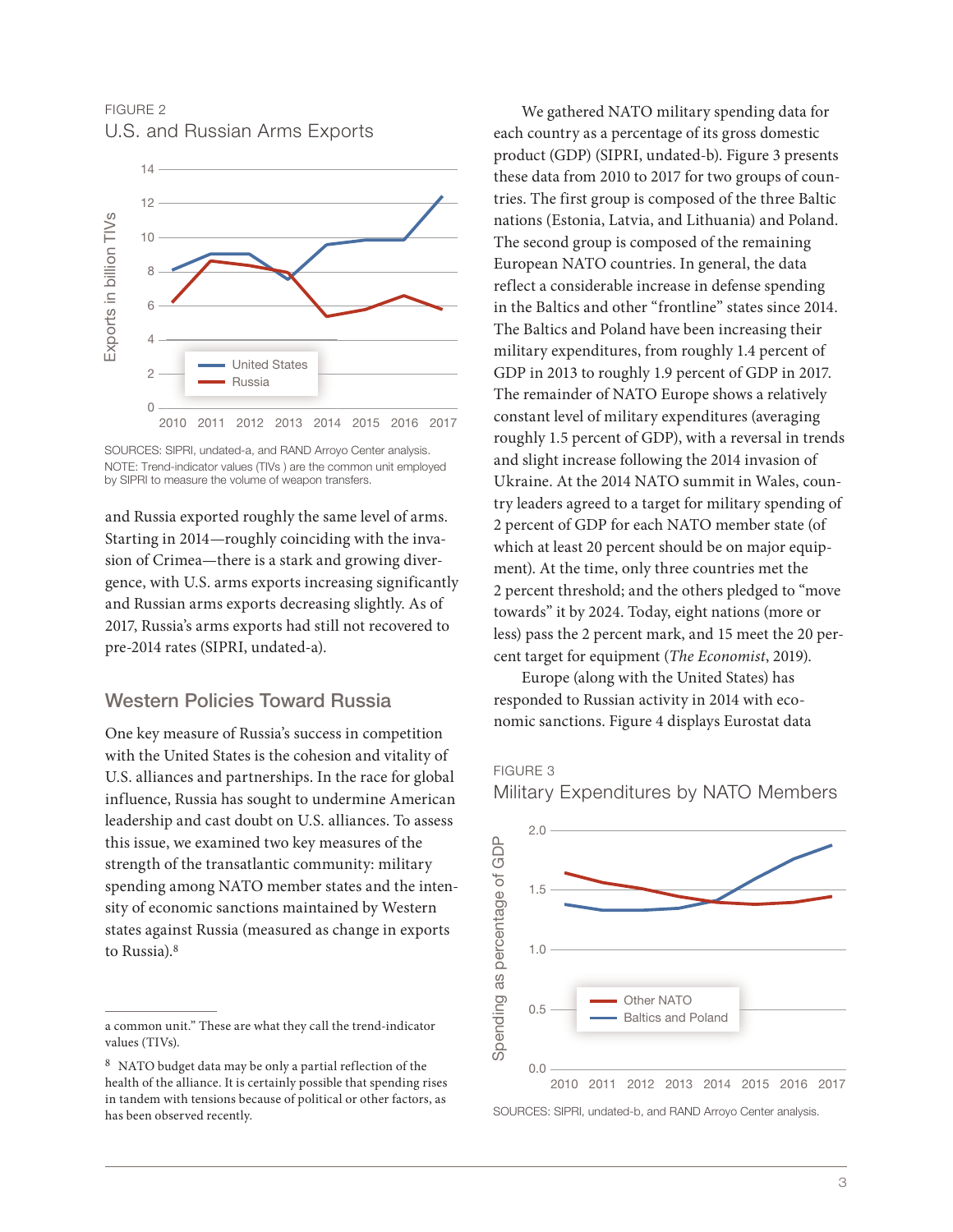FIGURE 2 U.S. and Russian Arms Exports



SOURCES: SIPRI, undated-a, and RAND Arroyo Center analysis. NOTE: Trend-indicator values (TIVs ) are the common unit employed by SIPRI to measure the volume of weapon transfers.

and Russia exported roughly the same level of arms. Starting in 2014—roughly coinciding with the invasion of Crimea—there is a stark and growing divergence, with U.S. arms exports increasing significantly and Russian arms exports decreasing slightly. As of 2017, Russia's arms exports had still not recovered to pre-2014 rates (SIPRI, undated-a).

#### Western Policies Toward Russia

One key measure of Russia's success in competition with the United States is the cohesion and vitality of U.S. alliances and partnerships. In the race for global influence, Russia has sought to undermine American leadership and cast doubt on U.S. alliances. To assess this issue, we examined two key measures of the strength of the transatlantic community: military spending among NATO member states and the intensity of economic sanctions maintained by Western states against Russia (measured as change in exports to Russia).<sup>8</sup>

We gathered NATO military spending data for each country as a percentage of its gross domestic product (GDP) (SIPRI, undated-b). Figure 3 presents these data from 2010 to 2017 for two groups of countries. The first group is composed of the three Baltic nations (Estonia, Latvia, and Lithuania) and Poland. The second group is composed of the remaining European NATO countries. In general, the data reflect a considerable increase in defense spending in the Baltics and other "frontline" states since 2014. The Baltics and Poland have been increasing their military expenditures, from roughly 1.4 percent of GDP in 2013 to roughly 1.9 percent of GDP in 2017. The remainder of NATO Europe shows a relatively constant level of military expenditures (averaging roughly 1.5 percent of GDP), with a reversal in trends and slight increase following the 2014 invasion of Ukraine. At the 2014 NATO summit in Wales, country leaders agreed to a target for military spending of 2 percent of GDP for each NATO member state (of which at least 20 percent should be on major equipment). At the time, only three countries met the 2 percent threshold; and the others pledged to "move towards" it by 2024. Today, eight nations (more or less) pass the 2 percent mark, and 15 meet the 20 percent target for equipment (*The Economist*, 2019).

Europe (along with the United States) has responded to Russian activity in 2014 with economic sanctions. Figure 4 displays Eurostat data

FIGURE 3



Military Expenditures by NATO Members

a common unit." These are what they call the trend-indicator values (TIVs).

<sup>8</sup> NATO budget data may be only a partial reflection of the health of the alliance. It is certainly possible that spending rises in tandem with tensions because of political or other factors, as has been observed recently.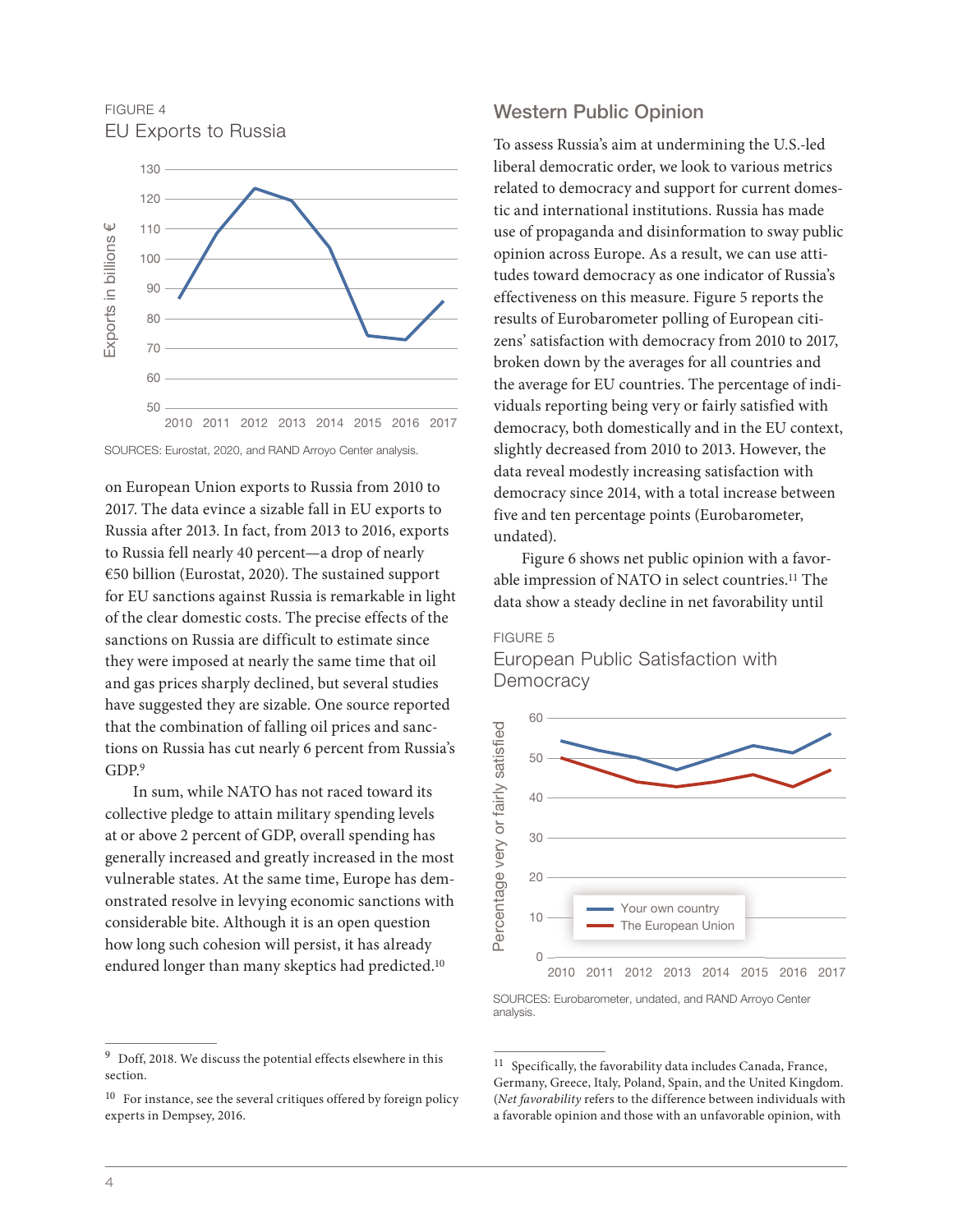FIGURE 4 EU Exports to Russia



SOURCES: Eurostat, 2020, and RAND Arroyo Center analysis.

on European Union exports to Russia from 2010 to 2017. The data evince a sizable fall in EU exports to Russia after 2013. In fact, from 2013 to 2016, exports to Russia fell nearly 40 percent—a drop of nearly €50 billion (Eurostat, 2020). The sustained support for EU sanctions against Russia is remarkable in light of the clear domestic costs. The precise effects of the sanctions on Russia are difficult to estimate since they were imposed at nearly the same time that oil and gas prices sharply declined, but several studies have suggested they are sizable. One source reported that the combination of falling oil prices and sanctions on Russia has cut nearly 6 percent from Russia's GDP.9

In sum, while NATO has not raced toward its collective pledge to attain military spending levels at or above 2 percent of GDP, overall spending has generally increased and greatly increased in the most vulnerable states. At the same time, Europe has demonstrated resolve in levying economic sanctions with considerable bite. Although it is an open question how long such cohesion will persist, it has already endured longer than many skeptics had predicted.<sup>10</sup>

#### Western Public Opinion

To assess Russia's aim at undermining the U.S.-led liberal democratic order, we look to various metrics related to democracy and support for current domestic and international institutions. Russia has made use of propaganda and disinformation to sway public opinion across Europe. As a result, we can use attitudes toward democracy as one indicator of Russia's effectiveness on this measure. Figure 5 reports the results of Eurobarometer polling of European citizens' satisfaction with democracy from 2010 to 2017, broken down by the averages for all countries and the average for EU countries. The percentage of individuals reporting being very or fairly satisfied with democracy, both domestically and in the EU context, slightly decreased from 2010 to 2013. However, the data reveal modestly increasing satisfaction with democracy since 2014, with a total increase between five and ten percentage points (Eurobarometer, undated).

Figure 6 shows net public opinion with a favorable impression of NATO in select countries.<sup>11</sup> The data show a steady decline in net favorability until

#### FIGURE 5 European Public Satisfaction with **Democracy**



SOURCES: Eurobarometer, undated, and RAND Arroyo Center analysis.

 $9$  Doff, 2018. We discuss the potential effects elsewhere in this section.

 $^{10}\,$  For instance, see the several critiques offered by foreign policy experts in Dempsey, 2016.

 $^{11}\,$  Specifically, the favorability data includes Canada, France, Germany, Greece, Italy, Poland, Spain, and the United Kingdom. (*Net favorability* refers to the difference between individuals with a favorable opinion and those with an unfavorable opinion, with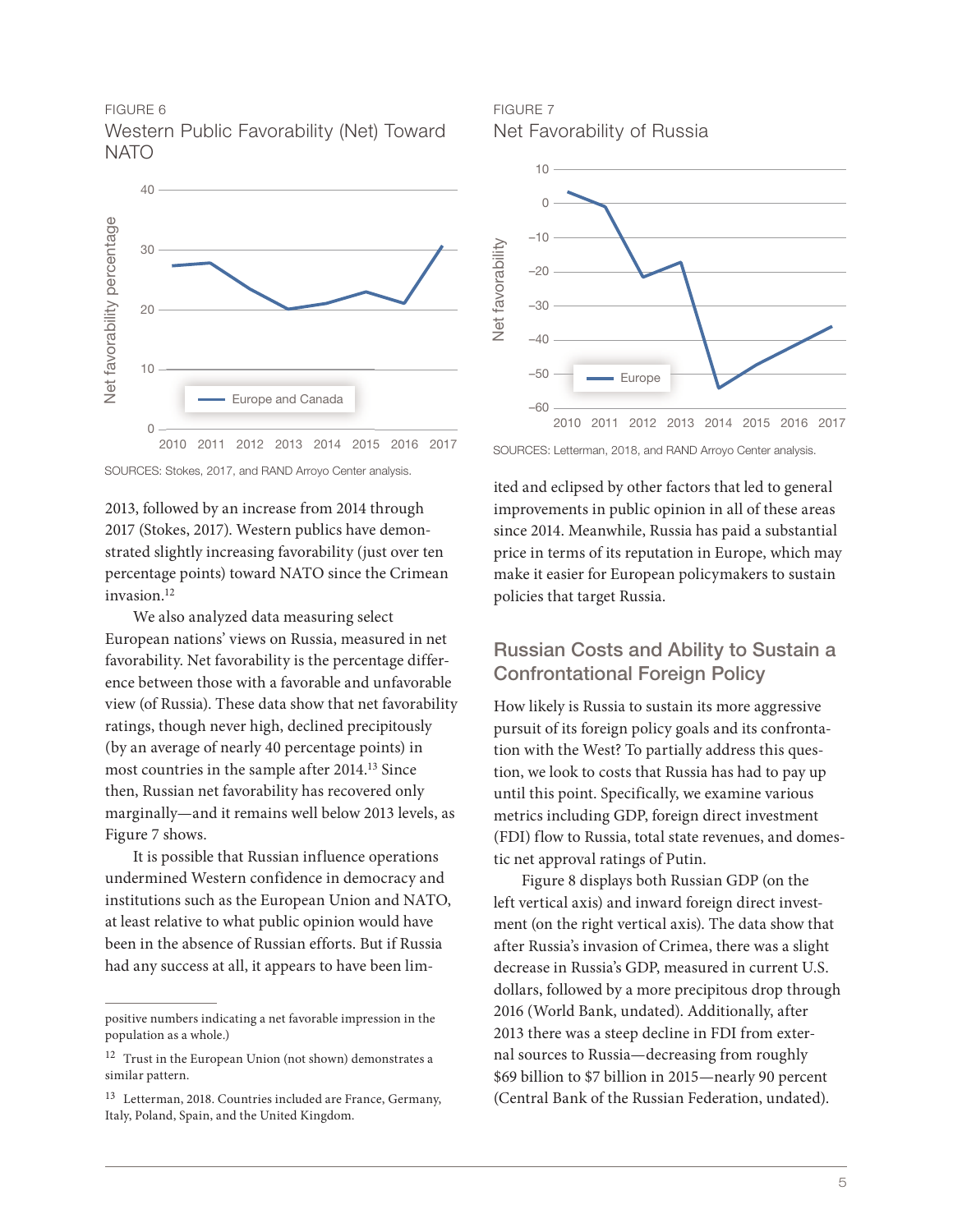#### FIGURE 6 Western Public Favorability (Net) Toward **NATO**



SOURCES: Stokes, 2017, and RAND Arroyo Center analysis.

2013, followed by an increase from 2014 through 2017 (Stokes, 2017). Western publics have demonstrated slightly increasing favorability (just over ten percentage points) toward NATO since the Crimean invasion.12

We also analyzed data measuring select European nations' views on Russia, measured in net favorability. Net favorability is the percentage difference between those with a favorable and unfavorable view (of Russia). These data show that net favorability ratings, though never high, declined precipitously (by an average of nearly 40 percentage points) in most countries in the sample after 2014.13 Since then, Russian net favorability has recovered only marginally—and it remains well below 2013 levels, as Figure 7 shows.

It is possible that Russian influence operations undermined Western confidence in democracy and institutions such as the European Union and NATO, at least relative to what public opinion would have been in the absence of Russian efforts. But if Russia had any success at all, it appears to have been lim-

FIGURE 7 Net Favorability of Russia



ited and eclipsed by other factors that led to general improvements in public opinion in all of these areas since 2014. Meanwhile, Russia has paid a substantial price in terms of its reputation in Europe, which may make it easier for European policymakers to sustain policies that target Russia.

## Russian Costs and Ability to Sustain a Confrontational Foreign Policy

How likely is Russia to sustain its more aggressive pursuit of its foreign policy goals and its confrontation with the West? To partially address this question, we look to costs that Russia has had to pay up until this point. Specifically, we examine various metrics including GDP, foreign direct investment (FDI) flow to Russia, total state revenues, and domestic net approval ratings of Putin.

Figure 8 displays both Russian GDP (on the left vertical axis) and inward foreign direct investment (on the right vertical axis). The data show that after Russia's invasion of Crimea, there was a slight decrease in Russia's GDP, measured in current U.S. dollars, followed by a more precipitous drop through 2016 (World Bank, undated). Additionally, after 2013 there was a steep decline in FDI from external sources to Russia—decreasing from roughly \$69 billion to \$7 billion in 2015—nearly 90 percent (Central Bank of the Russian Federation, undated).

positive numbers indicating a net favorable impression in the population as a whole.)

<sup>12</sup> Trust in the European Union (not shown) demonstrates a similar pattern.

<sup>13</sup> Letterman, 2018. Countries included are France, Germany, Italy, Poland, Spain, and the United Kingdom.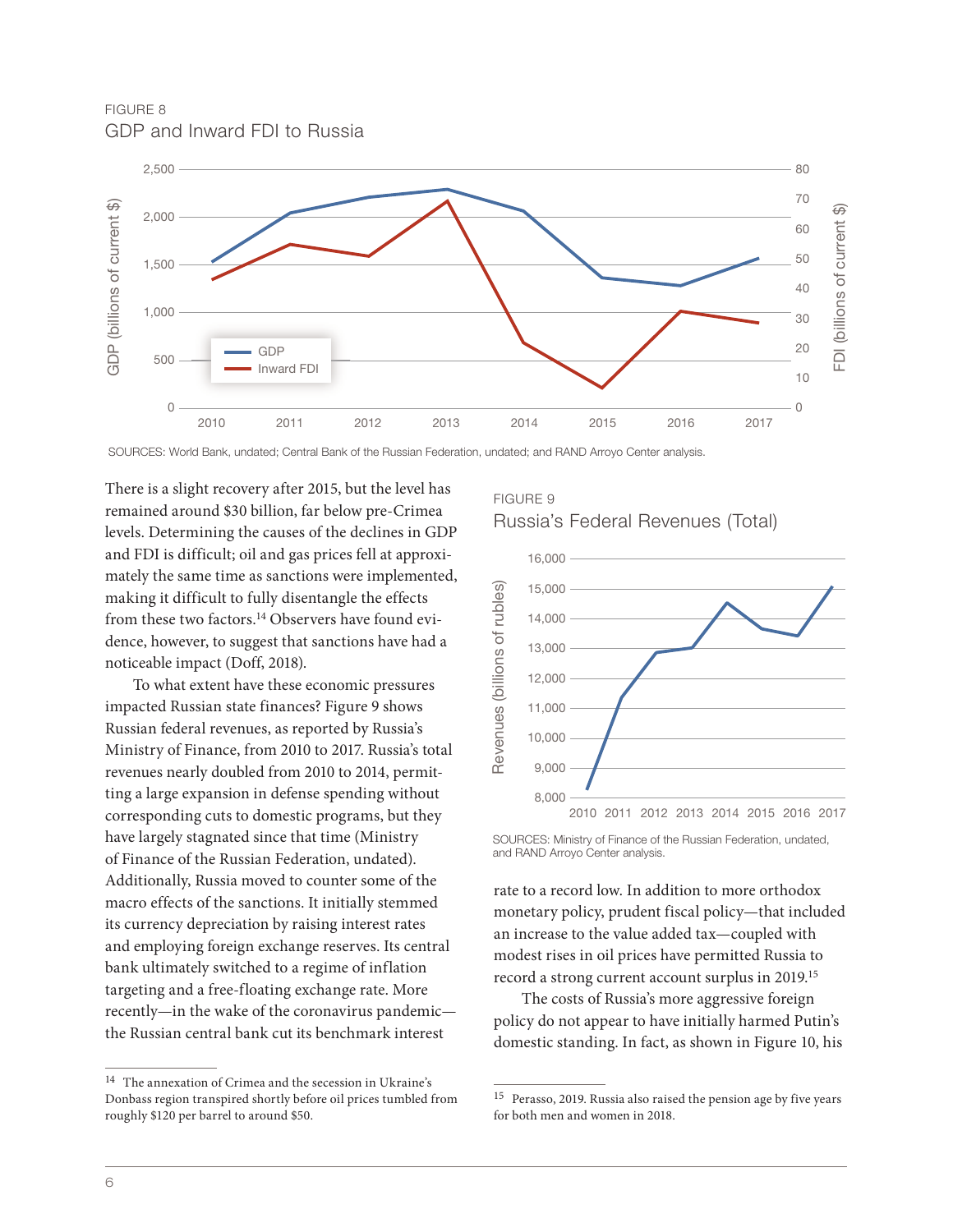FIGURE 8 GDP and Inward FDI to Russia



SOURCES: World Bank, undated; Central Bank of the Russian Federation, undated; and RAND Arroyo Center analysis.

There is a slight recovery after 2015, but the level has remained around \$30 billion, far below pre-Crimea levels. Determining the causes of the declines in GDP and FDI is difficult; oil and gas prices fell at approximately the same time as sanctions were implemented, making it difficult to fully disentangle the effects from these two factors.<sup>14</sup> Observers have found evidence, however, to suggest that sanctions have had a noticeable impact (Doff, 2018).

To what extent have these economic pressures impacted Russian state finances? Figure 9 shows Russian federal revenues, as reported by Russia's Ministry of Finance, from 2010 to 2017. Russia's total revenues nearly doubled from 2010 to 2014, permitting a large expansion in defense spending without corresponding cuts to domestic programs, but they have largely stagnated since that time (Ministry of Finance of the Russian Federation, undated). Additionally, Russia moved to counter some of the macro effects of the sanctions. It initially stemmed its currency depreciation by raising interest rates and employing foreign exchange reserves. Its central bank ultimately switched to a regime of inflation targeting and a free-floating exchange rate. More recently—in the wake of the coronavirus pandemic the Russian central bank cut its benchmark interest

#### FIGURE 9





SOURCES: Ministry of Finance of the Russian Federation, undated,

rate to a record low. In addition to more orthodox monetary policy, prudent fiscal policy—that included an increase to the value added tax—coupled with modest rises in oil prices have permitted Russia to record a strong current account surplus in 2019.15

The costs of Russia's more aggressive foreign policy do not appear to have initially harmed Putin's domestic standing. In fact, as shown in Figure 10, his

<sup>14</sup> The annexation of Crimea and the secession in Ukraine's Donbass region transpired shortly before oil prices tumbled from roughly \$120 per barrel to around \$50.

<sup>15</sup> Perasso, 2019. Russia also raised the pension age by five years for both men and women in 2018.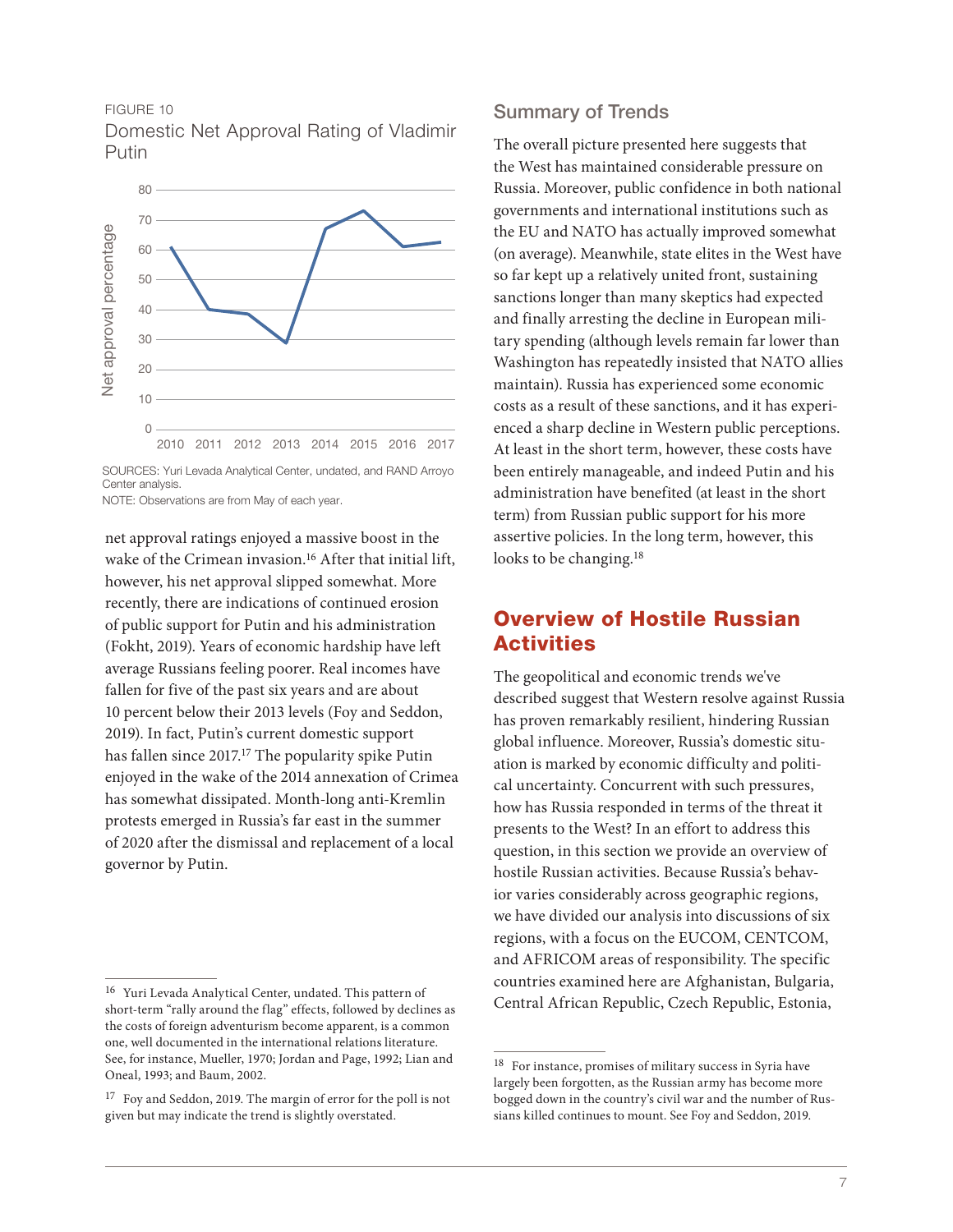#### FIGURE 10

Domestic Net Approval Rating of Vladimir Putin



SOURCES: Yuri Levada Analytical Center, undated, and RAND Arroyo Center analysis.

NOTE: Observations are from May of each year.

net approval ratings enjoyed a massive boost in the wake of the Crimean invasion.<sup>16</sup> After that initial lift, however, his net approval slipped somewhat. More recently, there are indications of continued erosion of public support for Putin and his administration (Fokht, 2019). Years of economic hardship have left average Russians feeling poorer. Real incomes have fallen for five of the past six years and are about 10 percent below their 2013 levels (Foy and Seddon, 2019). In fact, Putin's current domestic support has fallen since 2017.<sup>17</sup> The popularity spike Putin enjoyed in the wake of the 2014 annexation of Crimea has somewhat dissipated. Month-long anti-Kremlin protests emerged in Russia's far east in the summer of 2020 after the dismissal and replacement of a local governor by Putin.

#### Summary of Trends

The overall picture presented here suggests that the West has maintained considerable pressure on Russia. Moreover, public confidence in both national governments and international institutions such as the EU and NATO has actually improved somewhat (on average). Meanwhile, state elites in the West have so far kept up a relatively united front, sustaining sanctions longer than many skeptics had expected and finally arresting the decline in European military spending (although levels remain far lower than Washington has repeatedly insisted that NATO allies maintain). Russia has experienced some economic costs as a result of these sanctions, and it has experienced a sharp decline in Western public perceptions. At least in the short term, however, these costs have been entirely manageable, and indeed Putin and his administration have benefited (at least in the short term) from Russian public support for his more assertive policies. In the long term, however, this looks to be changing.<sup>18</sup>

## Overview of Hostile Russian **Activities**

The geopolitical and economic trends we've described suggest that Western resolve against Russia has proven remarkably resilient, hindering Russian global influence. Moreover, Russia's domestic situation is marked by economic difficulty and political uncertainty. Concurrent with such pressures, how has Russia responded in terms of the threat it presents to the West? In an effort to address this question, in this section we provide an overview of hostile Russian activities. Because Russia's behavior varies considerably across geographic regions, we have divided our analysis into discussions of six regions, with a focus on the EUCOM, CENTCOM, and AFRICOM areas of responsibility. The specific countries examined here are Afghanistan, Bulgaria, Central African Republic, Czech Republic, Estonia,

<sup>16</sup> Yuri Levada Analytical Center, undated. This pattern of short-term "rally around the flag" effects, followed by declines as the costs of foreign adventurism become apparent, is a common one, well documented in the international relations literature. See, for instance, Mueller, 1970; Jordan and Page, 1992; Lian and Oneal, 1993; and Baum, 2002.

<sup>17</sup> Foy and Seddon, 2019. The margin of error for the poll is not given but may indicate the trend is slightly overstated.

 $^{18}\,$  For instance, promises of military success in Syria have largely been forgotten, as the Russian army has become more bogged down in the country's civil war and the number of Russians killed continues to mount. See Foy and Seddon, 2019.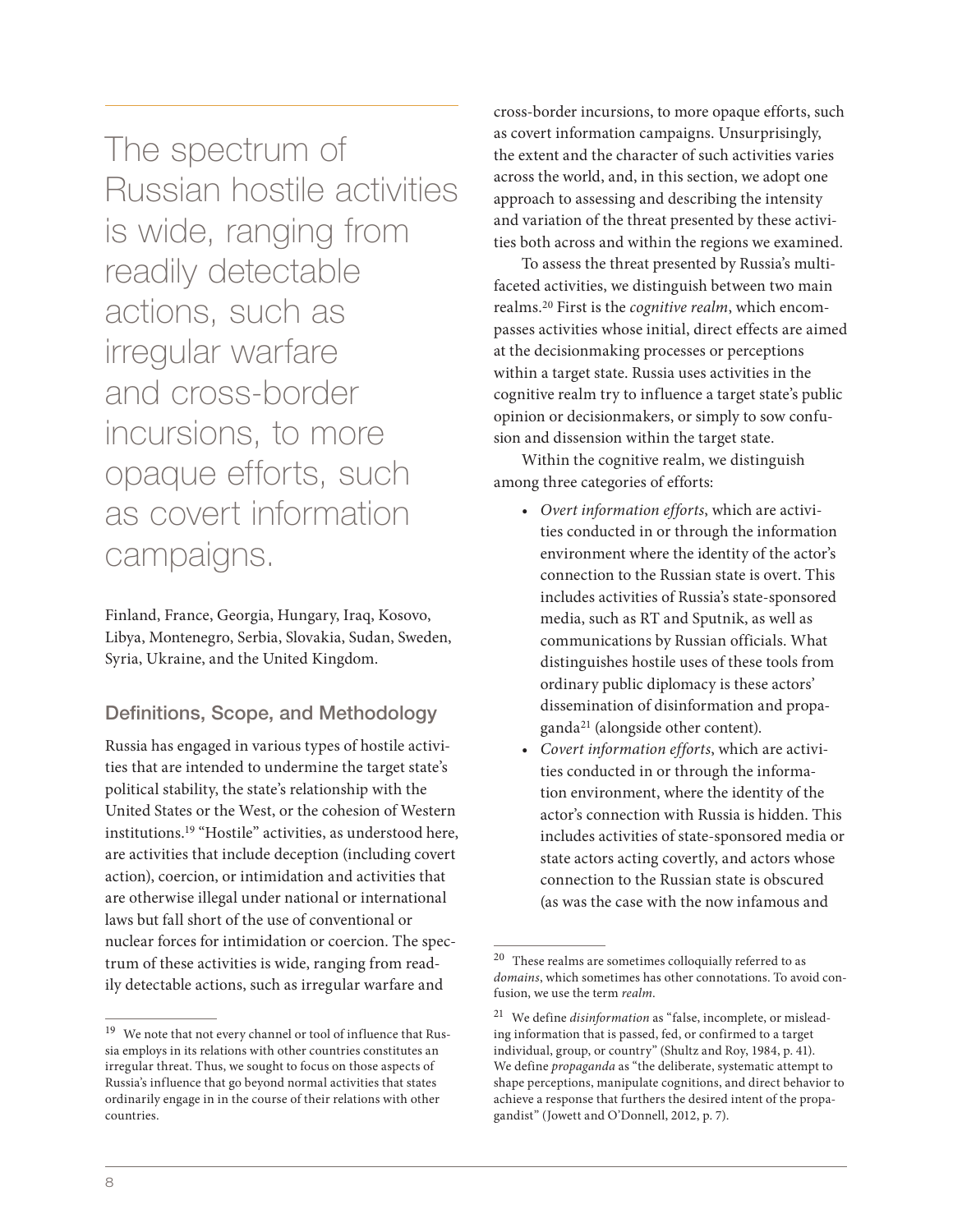The spectrum of Russian hostile activities is wide, ranging from readily detectable actions, such as irregular warfare and cross-border incursions, to more opaque efforts, such as covert information campaigns.

Finland, France, Georgia, Hungary, Iraq, Kosovo, Libya, Montenegro, Serbia, Slovakia, Sudan, Sweden, Syria, Ukraine, and the United Kingdom.

#### Definitions, Scope, and Methodology

Russia has engaged in various types of hostile activities that are intended to undermine the target state's political stability, the state's relationship with the United States or the West, or the cohesion of Western institutions.19 "Hostile" activities, as understood here, are activities that include deception (including covert action), coercion, or intimidation and activities that are otherwise illegal under national or international laws but fall short of the use of conventional or nuclear forces for intimidation or coercion. The spectrum of these activities is wide, ranging from readily detectable actions, such as irregular warfare and

cross-border incursions, to more opaque efforts, such as covert information campaigns. Unsurprisingly, the extent and the character of such activities varies across the world, and, in this section, we adopt one approach to assessing and describing the intensity and variation of the threat presented by these activities both across and within the regions we examined.

To assess the threat presented by Russia's multifaceted activities, we distinguish between two main realms.20 First is the *cognitive realm*, which encompasses activities whose initial, direct effects are aimed at the decisionmaking processes or perceptions within a target state. Russia uses activities in the cognitive realm try to influence a target state's public opinion or decisionmakers, or simply to sow confusion and dissension within the target state.

Within the cognitive realm, we distinguish among three categories of efforts:

- *• Overt information efforts*, which are activities conducted in or through the information environment where the identity of the actor's connection to the Russian state is overt. This includes activities of Russia's state-sponsored media, such as RT and Sputnik, as well as communications by Russian officials. What distinguishes hostile uses of these tools from ordinary public diplomacy is these actors' dissemination of disinformation and propaganda21 (alongside other content).
- *• Covert information efforts*, which are activities conducted in or through the information environment, where the identity of the actor's connection with Russia is hidden. This includes activities of state-sponsored media or state actors acting covertly, and actors whose connection to the Russian state is obscured (as was the case with the now infamous and

 $^{19}\,$  We note that not every channel or tool of influence that Russia employs in its relations with other countries constitutes an irregular threat. Thus, we sought to focus on those aspects of Russia's influence that go beyond normal activities that states ordinarily engage in in the course of their relations with other countries.

 $^{20}\,$  These realms are sometimes colloquially referred to as *domains*, which sometimes has other connotations. To avoid confusion, we use the term *realm*.

<sup>21</sup> We define *disinformation* as "false, incomplete, or misleading information that is passed, fed, or confirmed to a target individual, group, or country" (Shultz and Roy, 1984, p. 41). We define *propaganda* as "the deliberate, systematic attempt to shape perceptions, manipulate cognitions, and direct behavior to achieve a response that furthers the desired intent of the propagandist" (Jowett and O'Donnell, 2012, p. 7).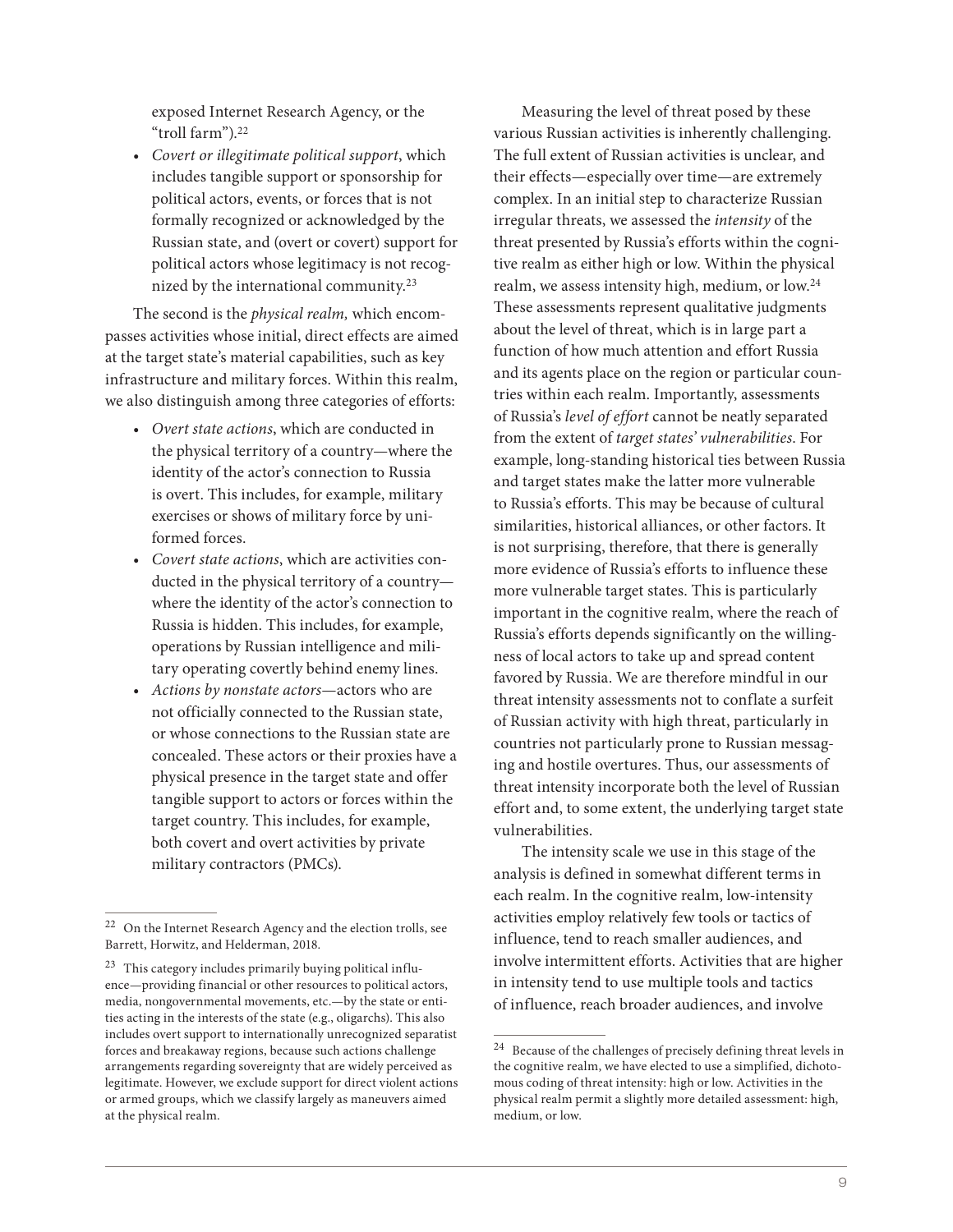exposed Internet Research Agency, or the "troll farm").22

*• Covert or illegitimate political support*, which includes tangible support or sponsorship for political actors, events, or forces that is not formally recognized or acknowledged by the Russian state, and (overt or covert) support for political actors whose legitimacy is not recognized by the international community.23

The second is the *physical realm,* which encompasses activities whose initial, direct effects are aimed at the target state's material capabilities, such as key infrastructure and military forces. Within this realm, we also distinguish among three categories of efforts:

- *• Overt state actions*, which are conducted in the physical territory of a country—where the identity of the actor's connection to Russia is overt. This includes, for example, military exercises or shows of military force by uniformed forces.
- *• Covert state actions*, which are activities conducted in the physical territory of a country where the identity of the actor's connection to Russia is hidden. This includes, for example, operations by Russian intelligence and military operating covertly behind enemy lines.
- *• Actions by nonstate actors*—actors who are not officially connected to the Russian state, or whose connections to the Russian state are concealed. These actors or their proxies have a physical presence in the target state and offer tangible support to actors or forces within the target country. This includes, for example, both covert and overt activities by private military contractors (PMCs).

Measuring the level of threat posed by these various Russian activities is inherently challenging. The full extent of Russian activities is unclear, and their effects—especially over time—are extremely complex. In an initial step to characterize Russian irregular threats, we assessed the *intensity* of the threat presented by Russia's efforts within the cognitive realm as either high or low. Within the physical realm, we assess intensity high, medium, or low.24 These assessments represent qualitative judgments about the level of threat, which is in large part a function of how much attention and effort Russia and its agents place on the region or particular countries within each realm. Importantly, assessments of Russia's *level of effort* cannot be neatly separated from the extent of *target states' vulnerabilities*. For example, long-standing historical ties between Russia and target states make the latter more vulnerable to Russia's efforts. This may be because of cultural similarities, historical alliances, or other factors. It is not surprising, therefore, that there is generally more evidence of Russia's efforts to influence these more vulnerable target states. This is particularly important in the cognitive realm, where the reach of Russia's efforts depends significantly on the willingness of local actors to take up and spread content favored by Russia. We are therefore mindful in our threat intensity assessments not to conflate a surfeit of Russian activity with high threat, particularly in countries not particularly prone to Russian messaging and hostile overtures. Thus, our assessments of threat intensity incorporate both the level of Russian effort and, to some extent, the underlying target state vulnerabilities.

The intensity scale we use in this stage of the analysis is defined in somewhat different terms in each realm. In the cognitive realm, low-intensity activities employ relatively few tools or tactics of influence, tend to reach smaller audiences, and involve intermittent efforts. Activities that are higher in intensity tend to use multiple tools and tactics of influence, reach broader audiences, and involve

<sup>22</sup> On the Internet Research Agency and the election trolls, see Barrett, Horwitz, and Helderman, 2018.

<sup>&</sup>lt;sup>23</sup> This category includes primarily buying political influence—providing financial or other resources to political actors, media, nongovernmental movements, etc.—by the state or entities acting in the interests of the state (e.g., oligarchs). This also includes overt support to internationally unrecognized separatist forces and breakaway regions, because such actions challenge arrangements regarding sovereignty that are widely perceived as legitimate. However, we exclude support for direct violent actions or armed groups, which we classify largely as maneuvers aimed at the physical realm.

 $^\mathrm{24}$  Because of the challenges of precisely defining threat levels in the cognitive realm, we have elected to use a simplified, dichotomous coding of threat intensity: high or low. Activities in the physical realm permit a slightly more detailed assessment: high, medium, or low.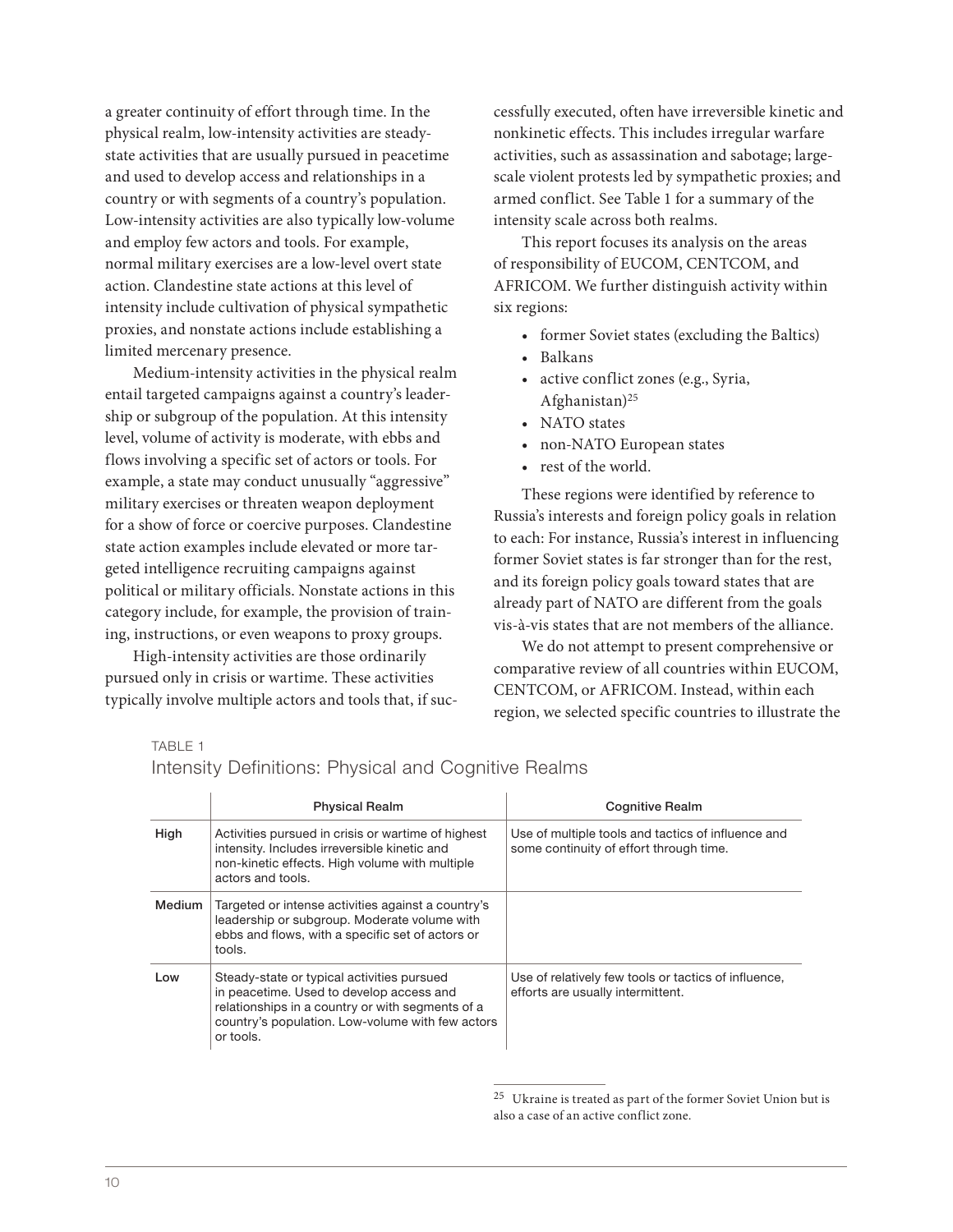a greater continuity of effort through time. In the physical realm, low-intensity activities are steadystate activities that are usually pursued in peacetime and used to develop access and relationships in a country or with segments of a country's population. Low-intensity activities are also typically low-volume and employ few actors and tools. For example, normal military exercises are a low-level overt state action. Clandestine state actions at this level of intensity include cultivation of physical sympathetic proxies, and nonstate actions include establishing a limited mercenary presence.

Medium-intensity activities in the physical realm entail targeted campaigns against a country's leadership or subgroup of the population. At this intensity level, volume of activity is moderate, with ebbs and flows involving a specific set of actors or tools. For example, a state may conduct unusually "aggressive" military exercises or threaten weapon deployment for a show of force or coercive purposes. Clandestine state action examples include elevated or more targeted intelligence recruiting campaigns against political or military officials. Nonstate actions in this category include, for example, the provision of training, instructions, or even weapons to proxy groups.

High-intensity activities are those ordinarily pursued only in crisis or wartime. These activities typically involve multiple actors and tools that, if successfully executed, often have irreversible kinetic and nonkinetic effects. This includes irregular warfare activities, such as assassination and sabotage; largescale violent protests led by sympathetic proxies; and armed conflict. See Table 1 for a summary of the intensity scale across both realms.

This report focuses its analysis on the areas of responsibility of EUCOM, CENTCOM, and AFRICOM. We further distinguish activity within six regions:

- former Soviet states (excluding the Baltics)
- Balkans
- active conflict zones (e.g., Syria, Afghanistan)25
- NATO states
- non-NATO European states
- rest of the world.

These regions were identified by reference to Russia's interests and foreign policy goals in relation to each: For instance, Russia's interest in influencing former Soviet states is far stronger than for the rest, and its foreign policy goals toward states that are already part of NATO are different from the goals vis-à-vis states that are not members of the alliance.

We do not attempt to present comprehensive or comparative review of all countries within EUCOM, CENTCOM, or AFRICOM. Instead, within each region, we selected specific countries to illustrate the

TABLE 1

|        | <b>Physical Realm</b>                                                                                                                                                                                       | <b>Cognitive Realm</b>                                                                        |
|--------|-------------------------------------------------------------------------------------------------------------------------------------------------------------------------------------------------------------|-----------------------------------------------------------------------------------------------|
| High   | Activities pursued in crisis or wartime of highest<br>intensity. Includes irreversible kinetic and<br>non-kinetic effects. High volume with multiple<br>actors and tools.                                   | Use of multiple tools and tactics of influence and<br>some continuity of effort through time. |
| Medium | Targeted or intense activities against a country's<br>leadership or subgroup. Moderate volume with<br>ebbs and flows, with a specific set of actors or<br>tools.                                            |                                                                                               |
| Low    | Steady-state or typical activities pursued<br>in peacetime. Used to develop access and<br>relationships in a country or with segments of a<br>country's population. Low-volume with few actors<br>or tools. | Use of relatively few tools or tactics of influence,<br>efforts are usually intermittent.     |

Intensity Definitions: Physical and Cognitive Realms

 $^{25}\,$  Ukraine is treated as part of the former Soviet Union but is also a case of an active conflict zone.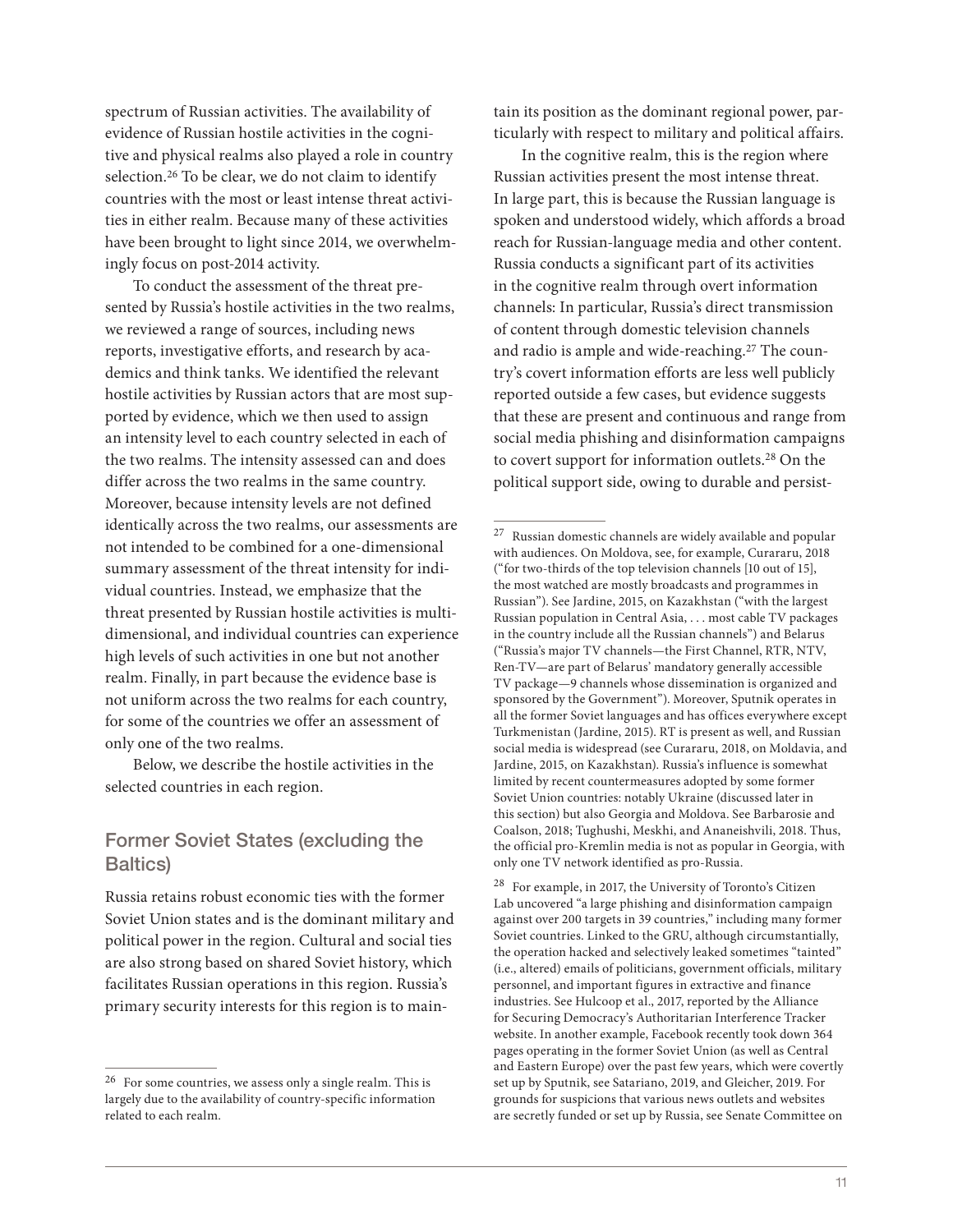spectrum of Russian activities. The availability of evidence of Russian hostile activities in the cognitive and physical realms also played a role in country selection.<sup>26</sup> To be clear, we do not claim to identify countries with the most or least intense threat activities in either realm. Because many of these activities have been brought to light since 2014, we overwhelmingly focus on post-2014 activity.

To conduct the assessment of the threat presented by Russia's hostile activities in the two realms, we reviewed a range of sources, including news reports, investigative efforts, and research by academics and think tanks. We identified the relevant hostile activities by Russian actors that are most supported by evidence, which we then used to assign an intensity level to each country selected in each of the two realms. The intensity assessed can and does differ across the two realms in the same country. Moreover, because intensity levels are not defined identically across the two realms, our assessments are not intended to be combined for a one-dimensional summary assessment of the threat intensity for individual countries. Instead, we emphasize that the threat presented by Russian hostile activities is multidimensional, and individual countries can experience high levels of such activities in one but not another realm. Finally, in part because the evidence base is not uniform across the two realms for each country, for some of the countries we offer an assessment of only one of the two realms.

Below, we describe the hostile activities in the selected countries in each region.

## Former Soviet States (excluding the Baltics)

Russia retains robust economic ties with the former Soviet Union states and is the dominant military and political power in the region. Cultural and social ties are also strong based on shared Soviet history, which facilitates Russian operations in this region. Russia's primary security interests for this region is to maintain its position as the dominant regional power, particularly with respect to military and political affairs.

In the cognitive realm, this is the region where Russian activities present the most intense threat. In large part, this is because the Russian language is spoken and understood widely, which affords a broad reach for Russian-language media and other content. Russia conducts a significant part of its activities in the cognitive realm through overt information channels: In particular, Russia's direct transmission of content through domestic television channels and radio is ample and wide-reaching.27 The country's covert information efforts are less well publicly reported outside a few cases, but evidence suggests that these are present and continuous and range from social media phishing and disinformation campaigns to covert support for information outlets.28 On the political support side, owing to durable and persist-

<sup>28</sup> For example, in 2017, the University of Toronto's Citizen Lab uncovered "a large phishing and disinformation campaign against over 200 targets in 39 countries," including many former Soviet countries. Linked to the GRU, although circumstantially, the operation hacked and selectively leaked sometimes "tainted" (i.e., altered) emails of politicians, government officials, military personnel, and important figures in extractive and finance industries. See Hulcoop et al., 2017, reported by the Alliance for Securing Democracy's Authoritarian Interference Tracker website. In another example, Facebook recently took down 364 pages operating in the former Soviet Union (as well as Central and Eastern Europe) over the past few years, which were covertly set up by Sputnik, see Satariano, 2019, and Gleicher, 2019. For grounds for suspicions that various news outlets and websites are secretly funded or set up by Russia, see Senate Committee on

<sup>26</sup> For some countries, we assess only a single realm. This is largely due to the availability of country-specific information related to each realm.

 $^\mathrm{27}$  Russian domestic channels are widely available and popular with audiences. On Moldova, see, for example, Curararu, 2018 ("for two-thirds of the top television channels [10 out of 15], the most watched are mostly broadcasts and programmes in Russian"). See Jardine, 2015, on Kazakhstan ("with the largest Russian population in Central Asia, . . . most cable TV packages in the country include all the Russian channels") and Belarus ("Russia's major TV channels—the First Channel, RTR, NTV, Ren-TV—are part of Belarus' mandatory generally accessible TV package—9 channels whose dissemination is organized and sponsored by the Government"). Moreover, Sputnik operates in all the former Soviet languages and has offices everywhere except Turkmenistan (Jardine, 2015). RT is present as well, and Russian social media is widespread (see Curararu, 2018, on Moldavia, and Jardine, 2015, on Kazakhstan). Russia's influence is somewhat limited by recent countermeasures adopted by some former Soviet Union countries: notably Ukraine (discussed later in this section) but also Georgia and Moldova. See Barbarosie and Coalson, 2018; Tughushi, Meskhi, and Ananeishvili, 2018. Thus, the official pro-Kremlin media is not as popular in Georgia, with only one TV network identified as pro-Russia.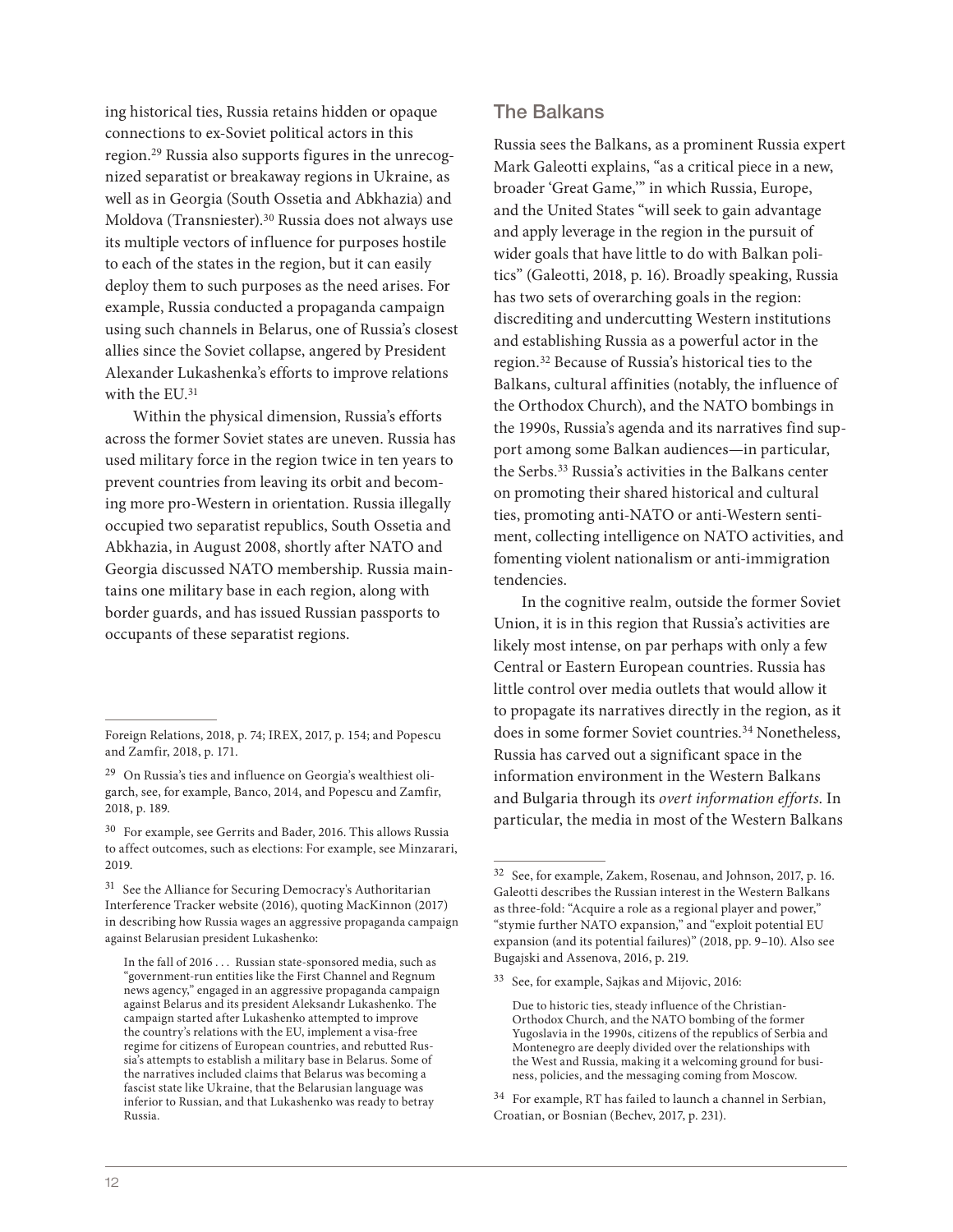ing historical ties, Russia retains hidden or opaque connections to ex-Soviet political actors in this region.29 Russia also supports figures in the unrecognized separatist or breakaway regions in Ukraine, as well as in Georgia (South Ossetia and Abkhazia) and Moldova (Transniester).30 Russia does not always use its multiple vectors of influence for purposes hostile to each of the states in the region, but it can easily deploy them to such purposes as the need arises. For example, Russia conducted a propaganda campaign using such channels in Belarus, one of Russia's closest allies since the Soviet collapse, angered by President Alexander Lukashenka's efforts to improve relations with the EU.<sup>31</sup>

Within the physical dimension, Russia's efforts across the former Soviet states are uneven. Russia has used military force in the region twice in ten years to prevent countries from leaving its orbit and becoming more pro-Western in orientation. Russia illegally occupied two separatist republics, South Ossetia and Abkhazia, in August 2008, shortly after NATO and Georgia discussed NATO membership. Russia maintains one military base in each region, along with border guards, and has issued Russian passports to occupants of these separatist regions.

#### The Balkans

Russia sees the Balkans, as a prominent Russia expert Mark Galeotti explains, "as a critical piece in a new, broader 'Great Game,'" in which Russia, Europe, and the United States "will seek to gain advantage and apply leverage in the region in the pursuit of wider goals that have little to do with Balkan politics" (Galeotti, 2018, p. 16). Broadly speaking, Russia has two sets of overarching goals in the region: discrediting and undercutting Western institutions and establishing Russia as a powerful actor in the region.32 Because of Russia's historical ties to the Balkans, cultural affinities (notably, the influence of the Orthodox Church), and the NATO bombings in the 1990s, Russia's agenda and its narratives find support among some Balkan audiences—in particular, the Serbs.33 Russia's activities in the Balkans center on promoting their shared historical and cultural ties, promoting anti-NATO or anti-Western sentiment, collecting intelligence on NATO activities, and fomenting violent nationalism or anti-immigration tendencies.

In the cognitive realm, outside the former Soviet Union, it is in this region that Russia's activities are likely most intense, on par perhaps with only a few Central or Eastern European countries. Russia has little control over media outlets that would allow it to propagate its narratives directly in the region, as it does in some former Soviet countries.<sup>34</sup> Nonetheless, Russia has carved out a significant space in the information environment in the Western Balkans and Bulgaria through its *overt information efforts*. In particular, the media in most of the Western Balkans

Foreign Relations, 2018, p. 74; IREX, 2017, p. 154; and Popescu and Zamfir, 2018, p. 171.

 $29$  On Russia's ties and influence on Georgia's wealthiest oligarch, see, for example, Banco, 2014, and Popescu and Zamfir, 2018, p. 189.

<sup>30</sup> For example, see Gerrits and Bader, 2016. This allows Russia to affect outcomes, such as elections: For example, see Minzarari, 2019.

<sup>&</sup>lt;sup>31</sup> See the Alliance for Securing Democracy's Authoritarian Interference Tracker website (2016), quoting MacKinnon (2017) in describing how Russia wages an aggressive propaganda campaign against Belarusian president Lukashenko:

In the fall of 2016 . . . Russian state-sponsored media, such as "government-run entities like the First Channel and Regnum news agency," engaged in an aggressive propaganda campaign against Belarus and its president Aleksandr Lukashenko. The campaign started after Lukashenko attempted to improve the country's relations with the EU, implement a visa-free regime for citizens of European countries, and rebutted Russia's attempts to establish a military base in Belarus. Some of the narratives included claims that Belarus was becoming a fascist state like Ukraine, that the Belarusian language was inferior to Russian, and that Lukashenko was ready to betray Russia.

<sup>32</sup> See, for example, Zakem, Rosenau, and Johnson, 2017, p. 16. Galeotti describes the Russian interest in the Western Balkans as three-fold: "Acquire a role as a regional player and power," "stymie further NATO expansion," and "exploit potential EU expansion (and its potential failures)" (2018, pp. 9–10). Also see Bugajski and Assenova, 2016, p. 219.

<sup>33</sup> See, for example, Sajkas and Mijovic, 2016:

Due to historic ties, steady influence of the Christian-Orthodox Church, and the NATO bombing of the former Yugoslavia in the 1990s, citizens of the republics of Serbia and Montenegro are deeply divided over the relationships with the West and Russia, making it a welcoming ground for business, policies, and the messaging coming from Moscow.

<sup>&</sup>lt;sup>34</sup> For example, RT has failed to launch a channel in Serbian, Croatian, or Bosnian (Bechev, 2017, p. 231).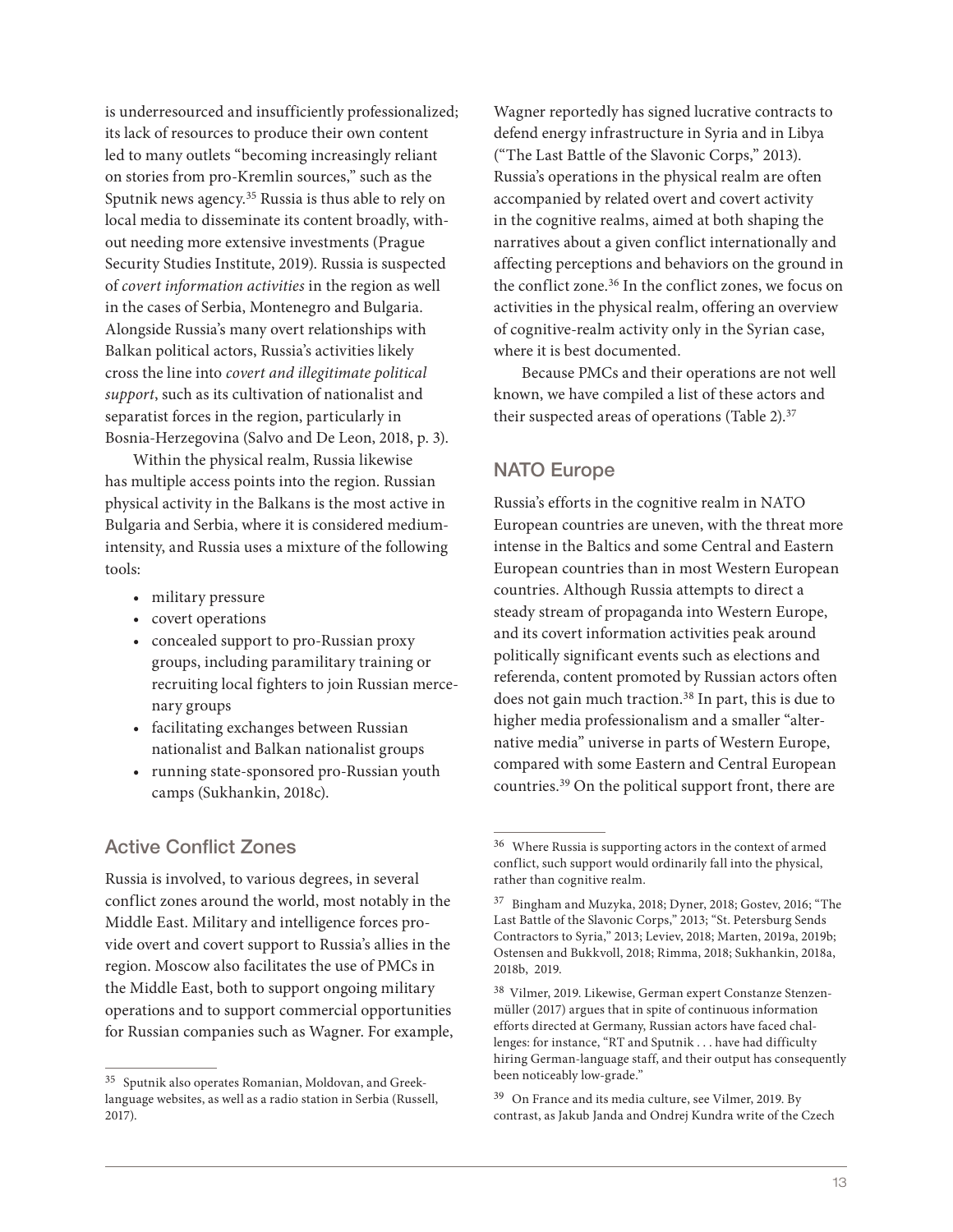is underresourced and insufficiently professionalized; its lack of resources to produce their own content led to many outlets "becoming increasingly reliant on stories from pro-Kremlin sources," such as the Sputnik news agency.35 Russia is thus able to rely on local media to disseminate its content broadly, without needing more extensive investments (Prague Security Studies Institute, 2019). Russia is suspected of *covert information activities* in the region as well in the cases of Serbia, Montenegro and Bulgaria. Alongside Russia's many overt relationships with Balkan political actors, Russia's activities likely cross the line into *covert and illegitimate political support*, such as its cultivation of nationalist and separatist forces in the region, particularly in Bosnia-Herzegovina (Salvo and De Leon, 2018, p. 3).

Within the physical realm, Russia likewise has multiple access points into the region. Russian physical activity in the Balkans is the most active in Bulgaria and Serbia, where it is considered mediumintensity, and Russia uses a mixture of the following tools:

- military pressure
- covert operations
- concealed support to pro-Russian proxy groups, including paramilitary training or recruiting local fighters to join Russian mercenary groups
- facilitating exchanges between Russian nationalist and Balkan nationalist groups
- running state-sponsored pro-Russian youth camps (Sukhankin, 2018c).

## Active Conflict Zones

Russia is involved, to various degrees, in several conflict zones around the world, most notably in the Middle East. Military and intelligence forces provide overt and covert support to Russia's allies in the region. Moscow also facilitates the use of PMCs in the Middle East, both to support ongoing military operations and to support commercial opportunities for Russian companies such as Wagner. For example,

Wagner reportedly has signed lucrative contracts to defend energy infrastructure in Syria and in Libya ("The Last Battle of the Slavonic Corps," 2013). Russia's operations in the physical realm are often accompanied by related overt and covert activity in the cognitive realms, aimed at both shaping the narratives about a given conflict internationally and affecting perceptions and behaviors on the ground in the conflict zone.<sup>36</sup> In the conflict zones, we focus on activities in the physical realm, offering an overview of cognitive-realm activity only in the Syrian case, where it is best documented.

Because PMCs and their operations are not well known, we have compiled a list of these actors and their suspected areas of operations (Table 2).37

## NATO Europe

Russia's efforts in the cognitive realm in NATO European countries are uneven, with the threat more intense in the Baltics and some Central and Eastern European countries than in most Western European countries. Although Russia attempts to direct a steady stream of propaganda into Western Europe, and its covert information activities peak around politically significant events such as elections and referenda, content promoted by Russian actors often does not gain much traction.<sup>38</sup> In part, this is due to higher media professionalism and a smaller "alternative media" universe in parts of Western Europe, compared with some Eastern and Central European countries.39 On the political support front, there are

<sup>35</sup> Sputnik also operates Romanian, Moldovan, and Greeklanguage websites, as well as a radio station in Serbia (Russell, 2017).

<sup>36</sup> Where Russia is supporting actors in the context of armed conflict, such support would ordinarily fall into the physical, rather than cognitive realm.

<sup>37</sup> Bingham and Muzyka, 2018; Dyner, 2018; Gostev, 2016; "The Last Battle of the Slavonic Corps," 2013; "St. Petersburg Sends Contractors to Syria," 2013; Leviev, 2018; Marten, 2019a, 2019b; Ostensen and Bukkvoll, 2018; Rimma, 2018; Sukhankin, 2018a, 2018b, 2019.

<sup>38</sup> Vilmer, 2019. Likewise, German expert Constanze Stenzenmüller (2017) argues that in spite of continuous information efforts directed at Germany, Russian actors have faced challenges: for instance, "RT and Sputnik . . . have had difficulty hiring German-language staff, and their output has consequently been noticeably low-grade."

<sup>39</sup> On France and its media culture, see Vilmer, 2019. By contrast, as Jakub Janda and Ondrej Kundra write of the Czech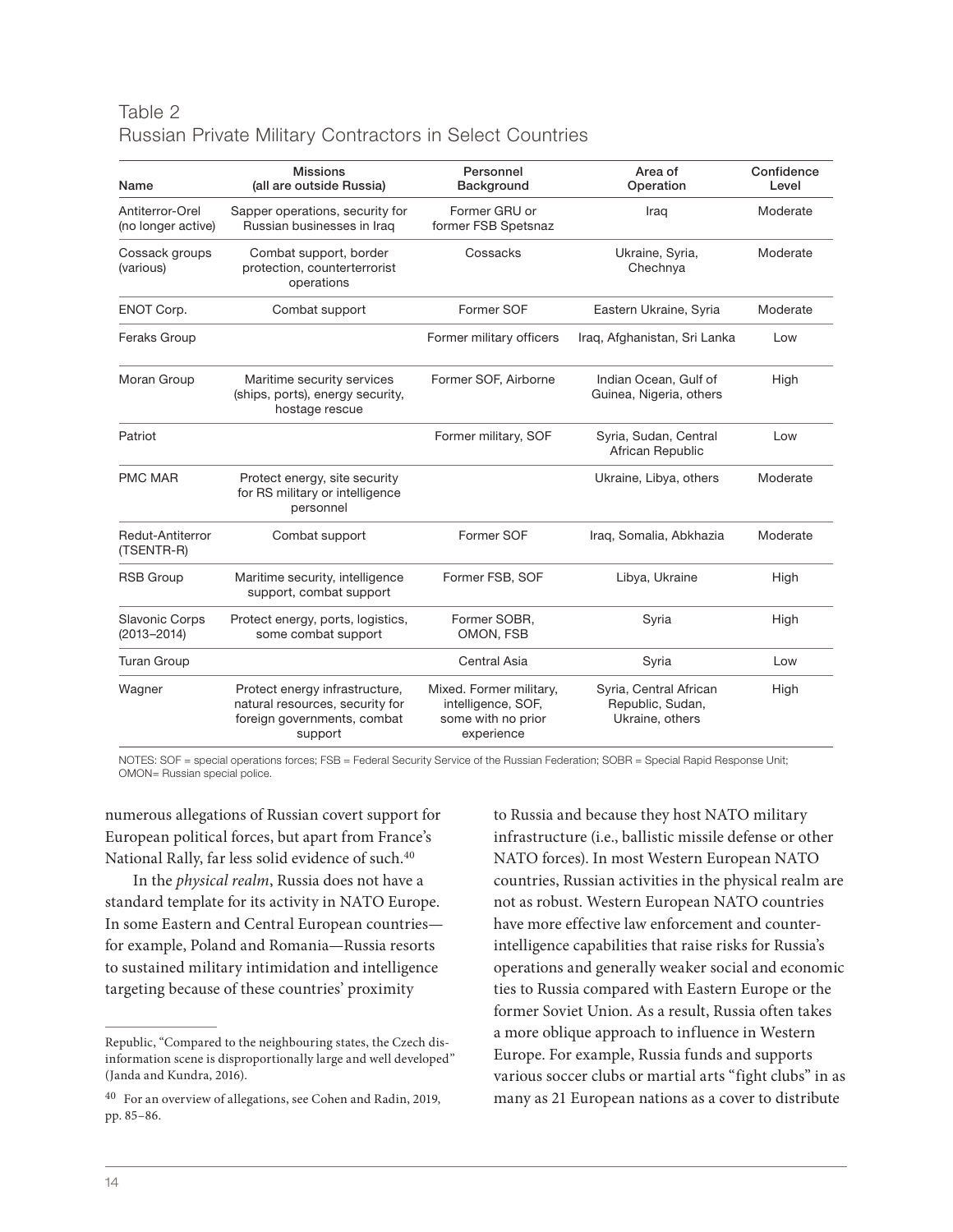## Table 2 Russian Private Military Contractors in Select Countries

| Name                                     | <b>Missions</b><br>(all are outside Russia)                                                                 | Personnel<br>Background                                                           | Area of<br>Operation                                          | Confidence<br>Level |
|------------------------------------------|-------------------------------------------------------------------------------------------------------------|-----------------------------------------------------------------------------------|---------------------------------------------------------------|---------------------|
| Antiterror-Orel<br>(no longer active)    | Sapper operations, security for<br>Russian businesses in Iraq                                               | Former GRU or<br>former FSB Spetsnaz                                              | Iraq                                                          | Moderate            |
| Cossack groups<br>(various)              | Combat support, border<br>protection, counterterrorist<br>operations                                        | Cossacks                                                                          | Ukraine, Syria,<br>Chechnya                                   | Moderate            |
| ENOT Corp.                               | Combat support                                                                                              | Former SOF                                                                        | Eastern Ukraine, Syria                                        | Moderate            |
| Feraks Group                             |                                                                                                             | Former military officers                                                          | Iraq, Afghanistan, Sri Lanka                                  | Low                 |
| Moran Group                              | Maritime security services<br>(ships, ports), energy security,<br>hostage rescue                            | Former SOF, Airborne                                                              | Indian Ocean, Gulf of<br>Guinea, Nigeria, others              | High                |
| Patriot                                  |                                                                                                             | Former military, SOF                                                              | Syria, Sudan, Central<br>African Republic                     | Low                 |
| <b>PMC MAR</b>                           | Protect energy, site security<br>for RS military or intelligence<br>personnel                               |                                                                                   | Ukraine, Libya, others                                        | Moderate            |
| Redut-Antiterror<br>(TSENTR-R)           | Combat support                                                                                              | Former SOF                                                                        | Iraq, Somalia, Abkhazia                                       | Moderate            |
| <b>RSB Group</b>                         | Maritime security, intelligence<br>support, combat support                                                  | Former FSB, SOF                                                                   | Libya, Ukraine                                                | High                |
| <b>Slavonic Corps</b><br>$(2013 - 2014)$ | Protect energy, ports, logistics,<br>some combat support                                                    | Former SOBR,<br>OMON, FSB                                                         | Syria                                                         | High                |
| <b>Turan Group</b>                       |                                                                                                             | Central Asia                                                                      | Syria                                                         | Low                 |
| Wagner                                   | Protect energy infrastructure,<br>natural resources, security for<br>foreign governments, combat<br>support | Mixed. Former military,<br>intelligence, SOF,<br>some with no prior<br>experience | Syria, Central African<br>Republic, Sudan,<br>Ukraine, others | High                |

NOTES: SOF = special operations forces; FSB = Federal Security Service of the Russian Federation; SOBR = Special Rapid Response Unit; OMON= Russian special police.

numerous allegations of Russian covert support for European political forces, but apart from France's National Rally, far less solid evidence of such.40

In the *physical realm*, Russia does not have a standard template for its activity in NATO Europe. In some Eastern and Central European countries for example, Poland and Romania—Russia resorts to sustained military intimidation and intelligence targeting because of these countries' proximity

to Russia and because they host NATO military infrastructure (i.e., ballistic missile defense or other NATO forces). In most Western European NATO countries, Russian activities in the physical realm are not as robust. Western European NATO countries have more effective law enforcement and counterintelligence capabilities that raise risks for Russia's operations and generally weaker social and economic ties to Russia compared with Eastern Europe or the former Soviet Union. As a result, Russia often takes a more oblique approach to influence in Western Europe. For example, Russia funds and supports various soccer clubs or martial arts "fight clubs" in as many as 21 European nations as a cover to distribute

Republic, "Compared to the neighbouring states, the Czech disinformation scene is disproportionally large and well developed" (Janda and Kundra, 2016).

 $^{40}\,$  For an overview of allegations, see Cohen and Radin, 2019, pp. 85–86.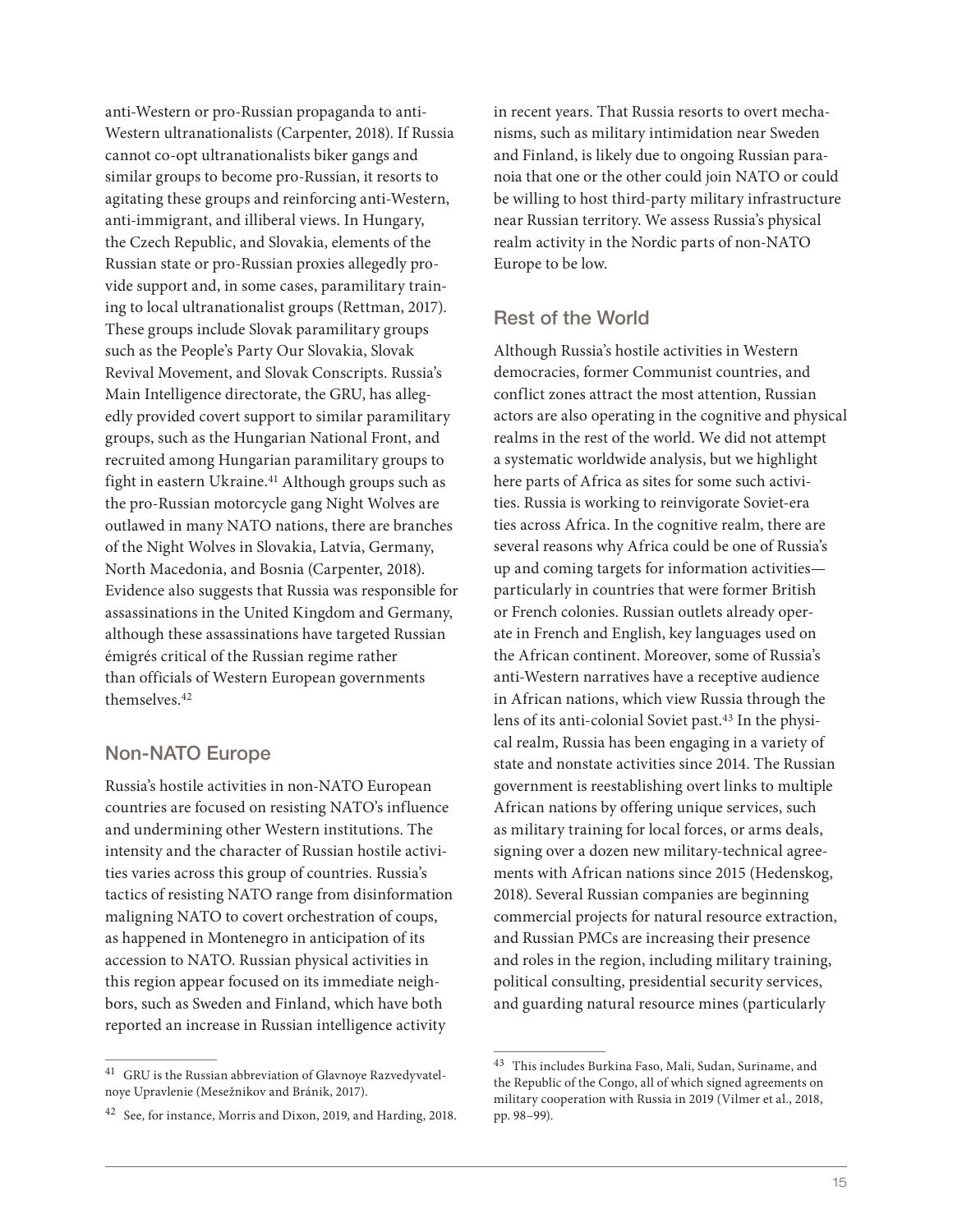anti-Western or pro-Russian propaganda to anti-Western ultranationalists (Carpenter, 2018). If Russia cannot co-opt ultranationalists biker gangs and similar groups to become pro-Russian, it resorts to agitating these groups and reinforcing anti-Western, anti-immigrant, and illiberal views. In Hungary, the Czech Republic, and Slovakia, elements of the Russian state or pro-Russian proxies allegedly provide support and, in some cases, paramilitary training to local ultranationalist groups (Rettman, 2017). These groups include Slovak paramilitary groups such as the People's Party Our Slovakia, Slovak Revival Movement, and Slovak Conscripts. Russia's Main Intelligence directorate, the GRU, has allegedly provided covert support to similar paramilitary groups, such as the Hungarian National Front, and recruited among Hungarian paramilitary groups to fight in eastern Ukraine.<sup>41</sup> Although groups such as the pro-Russian motorcycle gang Night Wolves are outlawed in many NATO nations, there are branches of the Night Wolves in Slovakia, Latvia, Germany, North Macedonia, and Bosnia (Carpenter, 2018). Evidence also suggests that Russia was responsible for assassinations in the United Kingdom and Germany, although these assassinations have targeted Russian émigrés critical of the Russian regime rather than officials of Western European governments themselves.42

#### Non-NATO Europe

Russia's hostile activities in non-NATO European countries are focused on resisting NATO's influence and undermining other Western institutions. The intensity and the character of Russian hostile activities varies across this group of countries. Russia's tactics of resisting NATO range from disinformation maligning NATO to covert orchestration of coups, as happened in Montenegro in anticipation of its accession to NATO. Russian physical activities in this region appear focused on its immediate neighbors, such as Sweden and Finland, which have both reported an increase in Russian intelligence activity

in recent years. That Russia resorts to overt mechanisms, such as military intimidation near Sweden and Finland, is likely due to ongoing Russian paranoia that one or the other could join NATO or could be willing to host third-party military infrastructure near Russian territory. We assess Russia's physical realm activity in the Nordic parts of non-NATO Europe to be low.

## Rest of the World

Although Russia's hostile activities in Western democracies, former Communist countries, and conflict zones attract the most attention, Russian actors are also operating in the cognitive and physical realms in the rest of the world. We did not attempt a systematic worldwide analysis, but we highlight here parts of Africa as sites for some such activities. Russia is working to reinvigorate Soviet-era ties across Africa. In the cognitive realm, there are several reasons why Africa could be one of Russia's up and coming targets for information activities particularly in countries that were former British or French colonies. Russian outlets already operate in French and English, key languages used on the African continent. Moreover, some of Russia's anti-Western narratives have a receptive audience in African nations, which view Russia through the lens of its anti-colonial Soviet past.43 In the physical realm, Russia has been engaging in a variety of state and nonstate activities since 2014. The Russian government is reestablishing overt links to multiple African nations by offering unique services, such as military training for local forces, or arms deals, signing over a dozen new military-technical agreements with African nations since 2015 (Hedenskog, 2018). Several Russian companies are beginning commercial projects for natural resource extraction, and Russian PMCs are increasing their presence and roles in the region, including military training, political consulting, presidential security services, and guarding natural resource mines (particularly

<sup>41</sup> GRU is the Russian abbreviation of Glavnoye Razvedyvatelnoye Upravlenie (Mesežnikov and Bránik, 2017).

<sup>42</sup> See, for instance, Morris and Dixon, 2019, and Harding, 2018.

<sup>43</sup> This includes Burkina Faso, Mali, Sudan, Suriname, and the Republic of the Congo, all of which signed agreements on military cooperation with Russia in 2019 (Vilmer et al., 2018, pp. 98–99).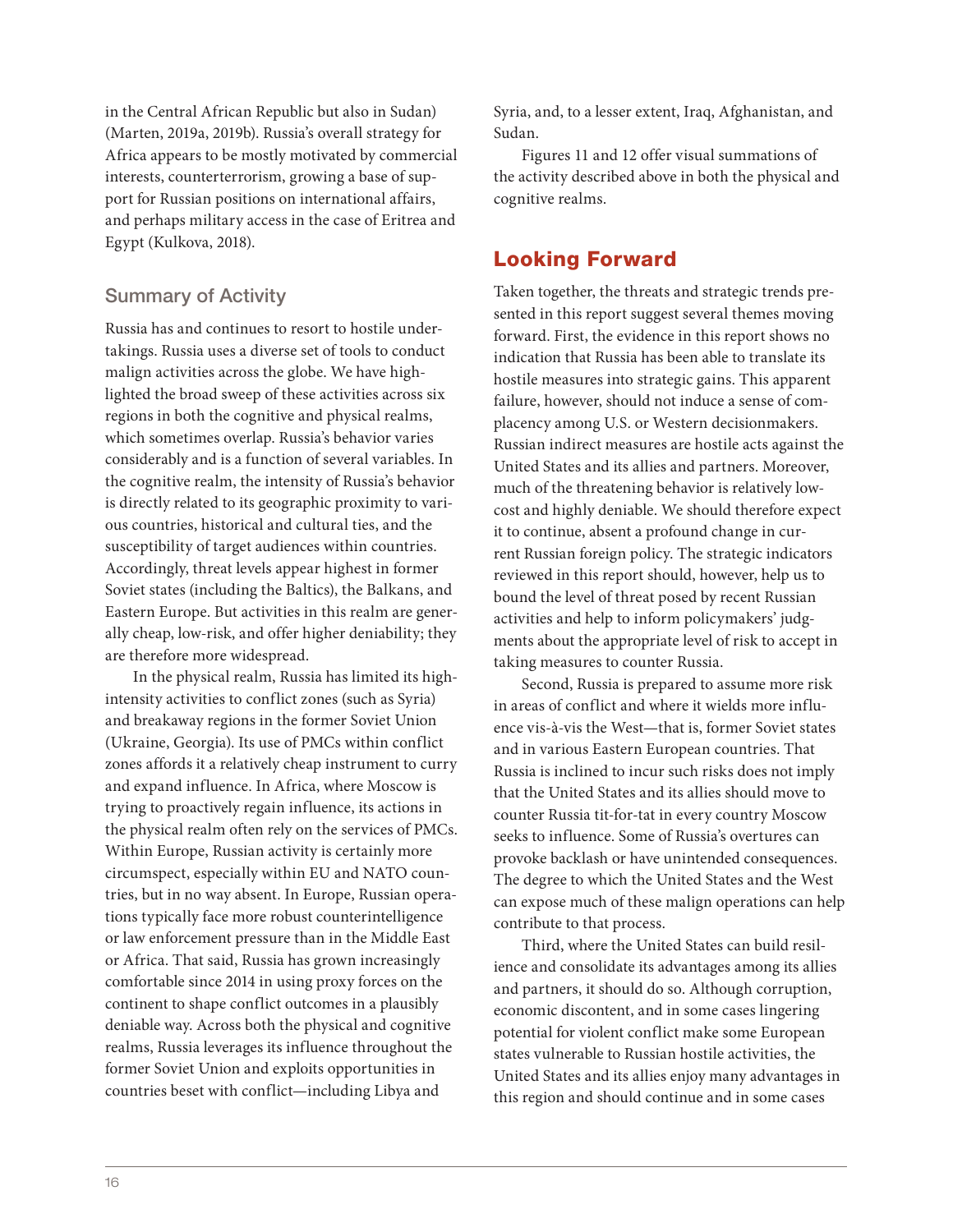in the Central African Republic but also in Sudan) (Marten, 2019a, 2019b). Russia's overall strategy for Africa appears to be mostly motivated by commercial interests, counterterrorism, growing a base of support for Russian positions on international affairs, and perhaps military access in the case of Eritrea and Egypt (Kulkova, 2018).

## Summary of Activity

Russia has and continues to resort to hostile undertakings. Russia uses a diverse set of tools to conduct malign activities across the globe. We have highlighted the broad sweep of these activities across six regions in both the cognitive and physical realms, which sometimes overlap. Russia's behavior varies considerably and is a function of several variables. In the cognitive realm, the intensity of Russia's behavior is directly related to its geographic proximity to various countries, historical and cultural ties, and the susceptibility of target audiences within countries. Accordingly, threat levels appear highest in former Soviet states (including the Baltics), the Balkans, and Eastern Europe. But activities in this realm are generally cheap, low-risk, and offer higher deniability; they are therefore more widespread.

In the physical realm, Russia has limited its highintensity activities to conflict zones (such as Syria) and breakaway regions in the former Soviet Union (Ukraine, Georgia). Its use of PMCs within conflict zones affords it a relatively cheap instrument to curry and expand influence. In Africa, where Moscow is trying to proactively regain influence, its actions in the physical realm often rely on the services of PMCs. Within Europe, Russian activity is certainly more circumspect, especially within EU and NATO countries, but in no way absent. In Europe, Russian operations typically face more robust counterintelligence or law enforcement pressure than in the Middle East or Africa. That said, Russia has grown increasingly comfortable since 2014 in using proxy forces on the continent to shape conflict outcomes in a plausibly deniable way. Across both the physical and cognitive realms, Russia leverages its influence throughout the former Soviet Union and exploits opportunities in countries beset with conflict—including Libya and

Syria, and, to a lesser extent, Iraq, Afghanistan, and Sudan.

Figures 11 and 12 offer visual summations of the activity described above in both the physical and cognitive realms.

# Looking Forward

Taken together, the threats and strategic trends presented in this report suggest several themes moving forward. First, the evidence in this report shows no indication that Russia has been able to translate its hostile measures into strategic gains. This apparent failure, however, should not induce a sense of complacency among U.S. or Western decisionmakers. Russian indirect measures are hostile acts against the United States and its allies and partners. Moreover, much of the threatening behavior is relatively lowcost and highly deniable. We should therefore expect it to continue, absent a profound change in current Russian foreign policy. The strategic indicators reviewed in this report should, however, help us to bound the level of threat posed by recent Russian activities and help to inform policymakers' judgments about the appropriate level of risk to accept in taking measures to counter Russia.

Second, Russia is prepared to assume more risk in areas of conflict and where it wields more influence vis-à-vis the West—that is, former Soviet states and in various Eastern European countries. That Russia is inclined to incur such risks does not imply that the United States and its allies should move to counter Russia tit-for-tat in every country Moscow seeks to influence. Some of Russia's overtures can provoke backlash or have unintended consequences. The degree to which the United States and the West can expose much of these malign operations can help contribute to that process.

Third, where the United States can build resilience and consolidate its advantages among its allies and partners, it should do so. Although corruption, economic discontent, and in some cases lingering potential for violent conflict make some European states vulnerable to Russian hostile activities, the United States and its allies enjoy many advantages in this region and should continue and in some cases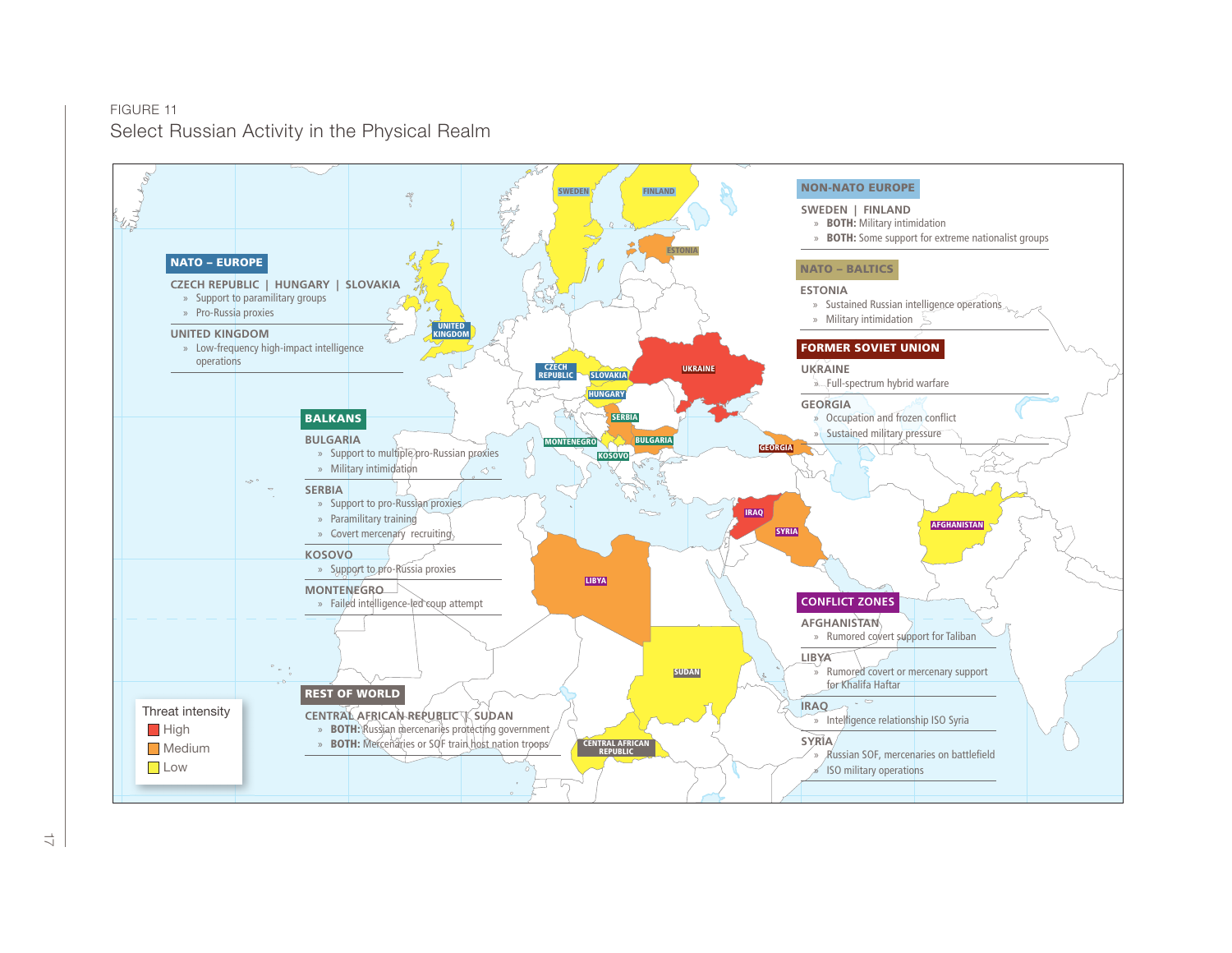

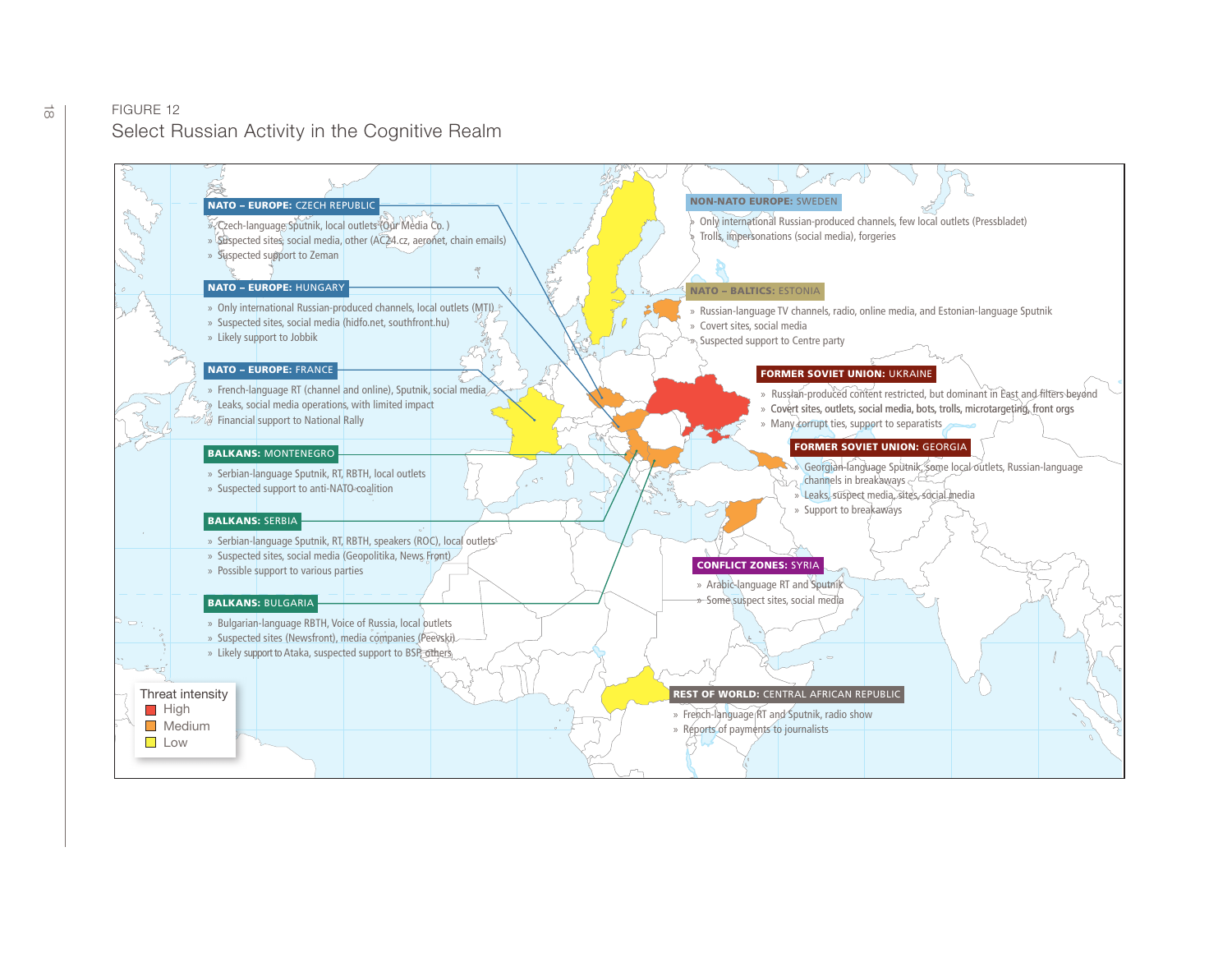#### $\frac{1}{00}$  FIGURE 12 Select Russian Activity in the Cognitive Realm

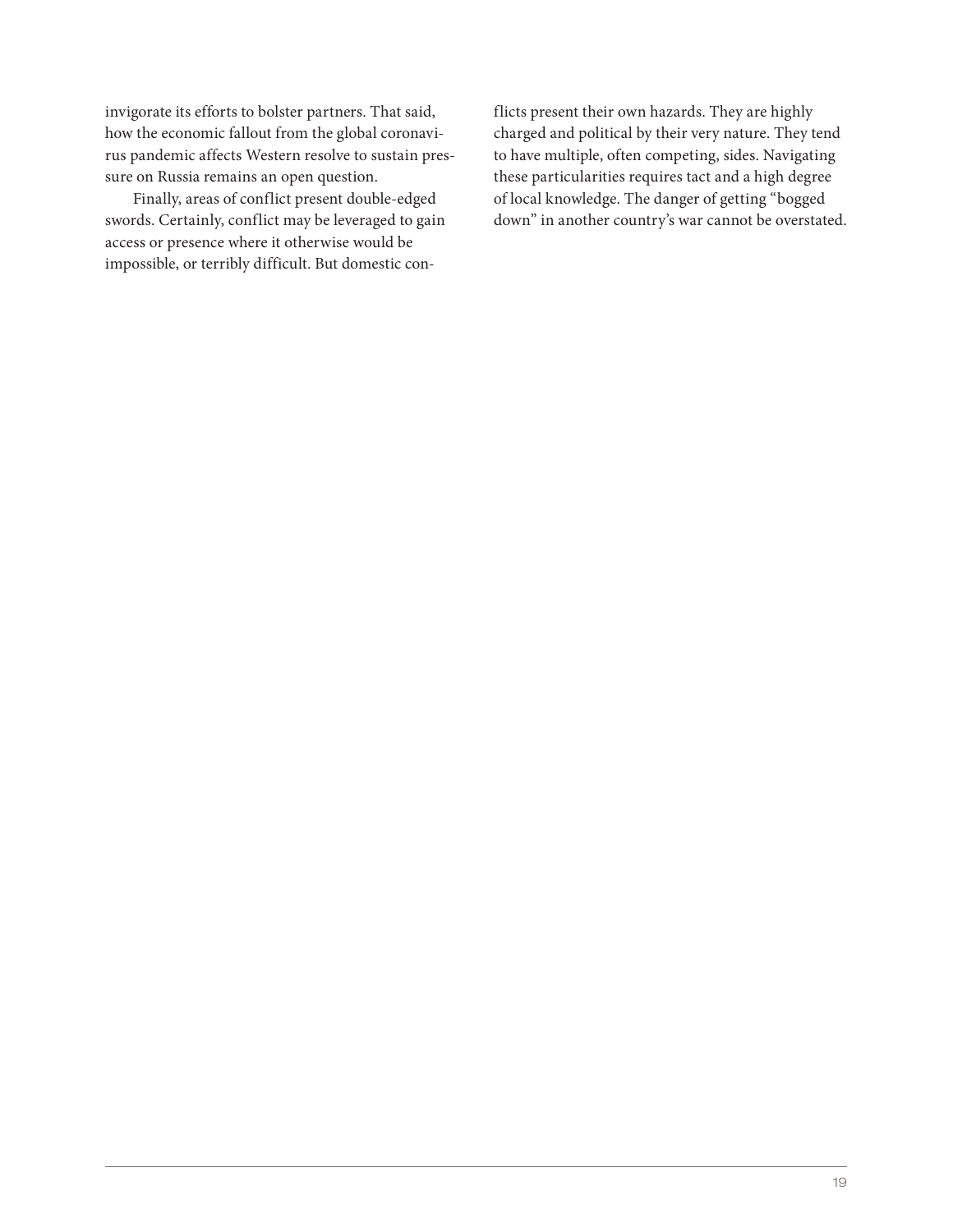invigorate its efforts to bolster partners. That said, how the economic fallout from the global coronavirus pandemic affects Western resolve to sustain pressure on Russia remains an open question.

Finally, areas of conflict present double-edged swords. Certainly, conflict may be leveraged to gain access or presence where it otherwise would be impossible, or terribly difficult. But domestic conflicts present their own hazards. They are highly charged and political by their very nature. They tend to have multiple, often competing, sides. Navigating these particularities requires tact and a high degree of local knowledge. The danger of getting "bogged down" in another country's war cannot be overstated.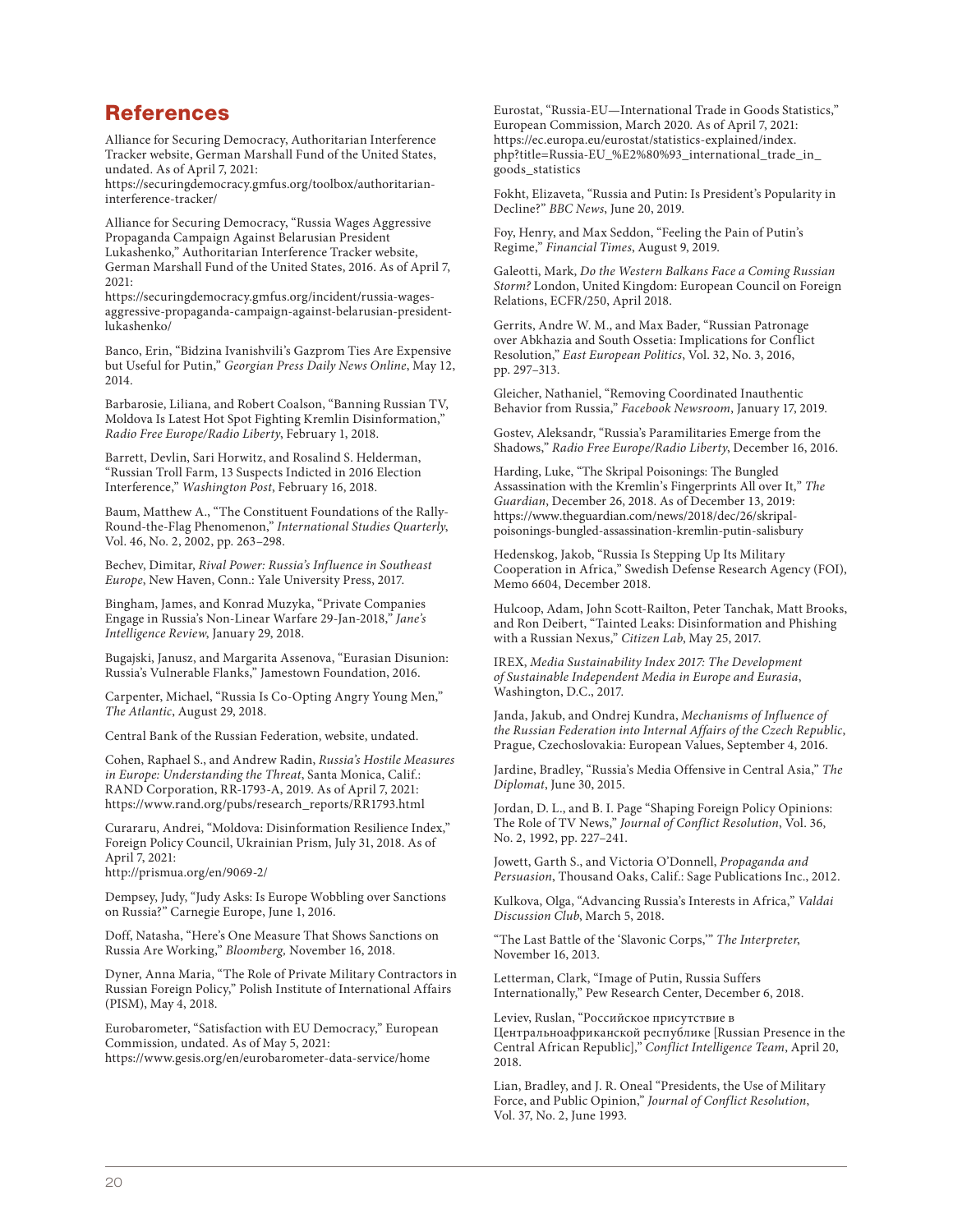## References

Alliance for Securing Democracy, Authoritarian Interference Tracker website, German Marshall Fund of the United States, undated. As of April 7, 2021:

[https://securingdemocracy.gmfus.org/toolbox/authoritarian](https://securingdemocracy.gmfus.org/toolbox/authoritarian-interference-tracker/)interference-tracker/

Alliance for Securing Democracy, "Russia Wages Aggressive Propaganda Campaign Against Belarusian President Lukashenko," Authoritarian Interference Tracker website, German Marshall Fund of the United States, 2016. As of April 7, 2021:

https://securingdemocracy.gmfus.org/incident/russia-wages[aggressive-propaganda-campaign-against-belarusian-president](https://securingdemocracy.gmfus.org/incident/russia-wages-aggressive-propaganda-campaign-against-belarusian-president-lukashenko/)lukashenko/

Banco, Erin, "Bidzina Ivanishvili's Gazprom Ties Are Expensive but Useful for Putin," *Georgian Press Daily News Online*, May 12, 2014.

Barbarosie, Liliana, and Robert Coalson, "Banning Russian TV, Moldova Is Latest Hot Spot Fighting Kremlin Disinformation," *Radio Free Europe/Radio Liberty*, February 1, 2018.

Barrett, Devlin, Sari Horwitz, and Rosalind S. Helderman, "Russian Troll Farm, 13 Suspects Indicted in 2016 Election Interference," *Washington Post*, February 16, 2018.

Baum, Matthew A., "The Constituent Foundations of the Rally-Round-the-Flag Phenomenon," *International Studies Quarterly*, Vol. 46, No. 2, 2002, pp. 263–298.

Bechev, Dimitar, *Rival Power: Russia's Influence in Southeast Europe*, New Haven, Conn.: Yale University Press, 2017.

Bingham, James, and Konrad Muzyka, "Private Companies Engage in Russia's Non-Linear Warfare 29-Jan-2018," *Jane's Intelligence Review*, January 29, 2018.

Bugajski, Janusz, and Margarita Assenova, "Eurasian Disunion: Russia's Vulnerable Flanks," Jamestown Foundation, 2016.

Carpenter, Michael, "Russia Is Co-Opting Angry Young Men," *The Atlantic*, August 29, 2018.

Central Bank of the Russian Federation, website, undated.

Cohen, Raphael S., and Andrew Radin, *Russia's Hostile Measures in Europe: Understanding the Threat*, Santa Monica, Calif.: RAND Corporation, RR-1793-A, 2019. As of April 7, 2021: [https://www.rand.org/pubs/research\\_reports/RR1793.html](https://www.rand.org/pubs/research_reports/RR1793.html)

Curararu, Andrei, "Moldova: Disinformation Resilience Index," Foreign Policy Council, Ukrainian Prism, July 31, 2018. As of April 7, 2021:

<http://prismua.org/en/9069-2/>

Dempsey, Judy, "Judy Asks: Is Europe Wobbling over Sanctions on Russia?" Carnegie Europe, June 1, 2016.

Doff, Natasha, "Here's One Measure That Shows Sanctions on Russia Are Working," *Bloomberg,* November 16, 2018.

Dyner, Anna Maria, "The Role of Private Military Contractors in Russian Foreign Policy," Polish Institute of International Affairs (PISM), May 4, 2018.

Eurobarometer, "Satisfaction with EU Democracy," European Commission*,* undated*.* As of May 5, 2021: <https://www.gesis.org/en/eurobarometer-data-service/home>

Eurostat, "Russia-EU—International Trade in Goods Statistics," European Commission, March 2020*.* As of April 7, 2021: https://ec.europa.eu/eurostat/statistics-explained/index. [php?title=Russia-EU\\_%E2%80%93\\_international\\_trade\\_in\\_](https://ec.europa.eu/eurostat/statistics-explained/index.php?title=Russia-EU_%E2%80%93_international_trade_in_goods_statistics) goods\_statistics

Fokht, Elizaveta, "Russia and Putin: Is President's Popularity in Decline?" *BBC News*, June 20, 2019.

Foy, Henry, and Max Seddon, "Feeling the Pain of Putin's Regime," *Financial Times*, August 9, 2019.

Galeotti, Mark, *Do the Western Balkans Face a Coming Russian Storm?* London, United Kingdom: European Council on Foreign Relations, ECFR/250, April 2018.

Gerrits, Andre W. M., and Max Bader, "Russian Patronage over Abkhazia and South Ossetia: Implications for Conflict Resolution," *East European Politics*, Vol. 32, No. 3, 2016, pp. 297–313.

Gleicher, Nathaniel, "Removing Coordinated Inauthentic Behavior from Russia," *Facebook Newsroom*, January 17, 2019.

Gostev, Aleksandr, "Russia's Paramilitaries Emerge from the Shadows," *Radio Free Europe/Radio Liberty*, December 16, 2016.

Harding, Luke, "The Skripal Poisonings: The Bungled Assassination with the Kremlin's Fingerprints All over It," *The Guardian*, December 26, 2018. As of December 13, 2019: https://www.theguardian.com/news/2018/dec/26/skripal[poisonings-bungled-assassination-kremlin-putin-salisbury](https://www.theguardian.com/news/2018/dec/26/skripal-poisonings-bungled-assassination-kremlin-putin-salisbury)

Hedenskog, Jakob, "Russia Is Stepping Up Its Military Cooperation in Africa," Swedish Defense Research Agency (FOI), Memo 6604, December 2018.

Hulcoop, Adam, John Scott-Railton, Peter Tanchak, Matt Brooks, and Ron Deibert, "Tainted Leaks: Disinformation and Phishing with a Russian Nexus," *Citizen Lab*, May 25, 2017.

IREX, *Media Sustainability Index 2017: The Development of Sustainable Independent Media in Europe and Eurasia*, Washington, D.C., 2017.

Janda, Jakub, and Ondrej Kundra, *Mechanisms of Influence of the Russian Federation into Internal Affairs of the Czech Republic*, Prague, Czechoslovakia: European Values, September 4, 2016.

Jardine, Bradley, "Russia's Media Offensive in Central Asia," *The Diplomat*, June 30, 2015.

Jordan, D. L., and B. I. Page "Shaping Foreign Policy Opinions: The Role of TV News," *Journal of Conflict Resolution*, Vol. 36, No. 2, 1992, pp. 227–241.

Jowett, Garth S., and Victoria O'Donnell, *Propaganda and Persuasion*, Thousand Oaks, Calif.: Sage Publications Inc., 2012.

Kulkova, Olga, "Advancing Russia's Interests in Africa," *Valdai Discussion Club*, March 5, 2018.

"The Last Battle of the 'Slavonic Corps,'" *The Interpreter*, November 16, 2013.

Letterman, Clark, "Image of Putin, Russia Suffers Internationally," Pew Research Center, December 6, 2018.

Leviev, Ruslan, "Российское присутствие в Центральноафриканской республике [Russian Presence in the Central African Republic]," *Conflict Intelligence Team*, April 20, 2018.

Lian, Bradley, and J. R. Oneal "Presidents, the Use of Military Force, and Public Opinion," *Journal of Conflict Resolution*, Vol. 37, No. 2, June 1993.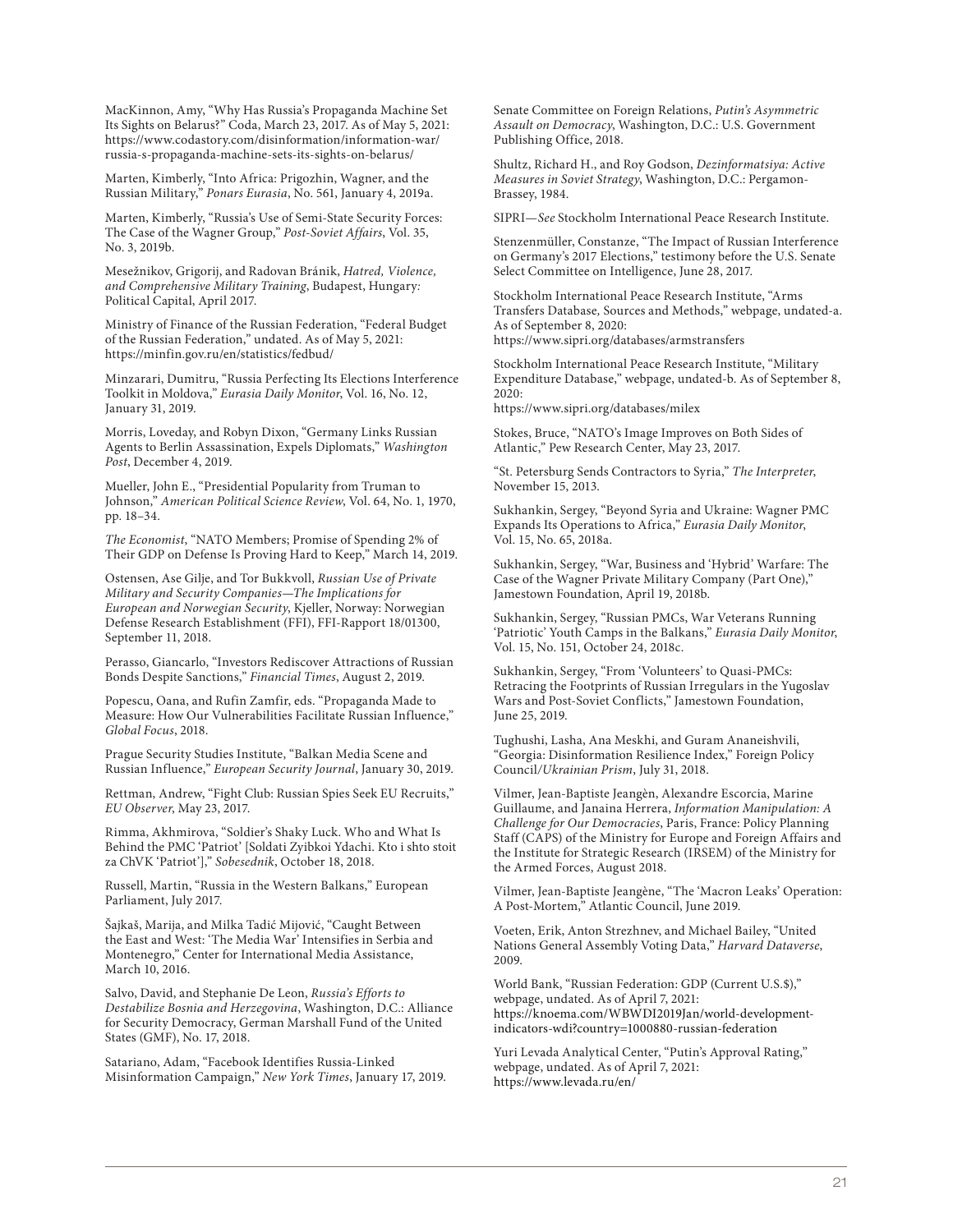MacKinnon, Amy, "Why Has Russia's Propaganda Machine Set Its Sights on Belarus?" Coda, March 23, 2017. As of May 5, 2021: [https://www.codastory.com/disinformation/information-war/](https://www.codastory.com/disinformation/information-war/russia-s-propaganda-machine-sets-its-sights-on-belarus/) russia-s-propaganda-machine-sets-its-sights-on-belarus/

Marten, Kimberly, "Into Africa: Prigozhin, Wagner, and the Russian Military," *Ponars Eurasia*, No. 561, January 4, 2019a.

Marten, Kimberly, "Russia's Use of Semi-State Security Forces: The Case of the Wagner Group," *Post-Soviet Affairs*, Vol. 35, No. 3, 2019b.

Mesežnikov, Grigorij, and Radovan Bránik, *Hatred, Violence, and Comprehensive Military Training*, Budapest, Hungary*:* Political Capital, April 2017.

Ministry of Finance of the Russian Federation, "Federal Budget of the Russian Federation," undated. As of May 5, 2021: <https://minfin.gov.ru/en/statistics/fedbud/>

Minzarari, Dumitru, "Russia Perfecting Its Elections Interference Toolkit in Moldova," *Eurasia Daily Monitor*, Vol. 16, No. 12, January 31, 2019.

Morris, Loveday, and Robyn Dixon, "Germany Links Russian Agents to Berlin Assassination, Expels Diplomats," *Washington Post*, December 4, 2019.

Mueller, John E., "Presidential Popularity from Truman to Johnson," *American Political Science Review*, Vol. 64, No. 1, 1970, pp. 18–34.

*The Economist*, "NATO Members; Promise of Spending 2% of Their GDP on Defense Is Proving Hard to Keep," March 14, 2019.

Ostensen, Ase Gilje, and Tor Bukkvoll, *Russian Use of Private Military and Security Companies—The Implications for European and Norwegian Security*, Kjeller, Norway: Norwegian Defense Research Establishment (FFI), FFI-Rapport 18/01300, September 11, 2018.

Perasso, Giancarlo, "Investors Rediscover Attractions of Russian Bonds Despite Sanctions," *Financial Times*, August 2, 2019.

Popescu, Oana, and Rufin Zamfir, eds. "Propaganda Made to Measure: How Our Vulnerabilities Facilitate Russian Influence," *Global Focus*, 2018.

Prague Security Studies Institute, "Balkan Media Scene and Russian Influence," *European Security Journal*, January 30, 2019.

Rettman, Andrew, "Fight Club: Russian Spies Seek EU Recruits," *EU Observer*, May 23, 2017.

Rimma, Akhmirova, "Soldier's Shaky Luck. Who and What Is Behind the PMC 'Patriot' [Soldati Zyibkoi Ydachi. Kto i shto stoit za ChVK 'Patriot']," *Sobesednik*, October 18, 2018.

Russell, Martin, "Russia in the Western Balkans," European Parliament, July 2017.

Šajkaš, Marija, and Milka Tadić Mijović, "Caught Between the East and West: 'The Media War' Intensifies in Serbia and Montenegro," Center for International Media Assistance, March 10, 2016.

Salvo, David, and Stephanie De Leon, *Russia's Efforts to Destabilize Bosnia and Herzegovina*, Washington, D.C.: Alliance for Security Democracy, German Marshall Fund of the United States (GMF), No. 17, 2018.

Satariano, Adam, "Facebook Identifies Russia-Linked Misinformation Campaign," *New York Times*, January 17, 2019. Senate Committee on Foreign Relations, *Putin's Asymmetric Assault on Democracy*, Washington, D.C.: U.S. Government Publishing Office, 2018.

Shultz, Richard H., and Roy Godson, *Dezinformatsiya: Active Measures in Soviet Strategy*, Washington, D.C.: Pergamon-Brassey, 1984.

SIPRI—*See* Stockholm International Peace Research Institute.

Stenzenmüller, Constanze, "The Impact of Russian Interference on Germany's 2017 Elections," testimony before the U.S. Senate Select Committee on Intelligence, June 28, 2017.

Stockholm International Peace Research Institute, "Arms Transfers Database*,* Sources and Methods," webpage, undated-a. As of September 8, 2020: <https://www.sipri.org/databases/armstransfers>

Stockholm International Peace Research Institute, "Military Expenditure Database," webpage, undated-b. As of September 8,  $2020:$ 

<https://www.sipri.org/databases/milex>

Stokes, Bruce, "NATO's Image Improves on Both Sides of Atlantic," Pew Research Center, May 23, 2017.

"St. Petersburg Sends Contractors to Syria," *The Interpreter*, November 15, 2013.

Sukhankin, Sergey, "Beyond Syria and Ukraine: Wagner PMC Expands Its Operations to Africa," *Eurasia Daily Monitor*, Vol. 15, No. 65, 2018a.

Sukhankin, Sergey, "War, Business and 'Hybrid' Warfare: The Case of the Wagner Private Military Company (Part One)," Jamestown Foundation, April 19, 2018b.

Sukhankin, Sergey, "Russian PMCs, War Veterans Running 'Patriotic' Youth Camps in the Balkans," *Eurasia Daily Monitor*, Vol. 15, No. 151, October 24, 2018c.

Sukhankin, Sergey, "From 'Volunteers' to Quasi-PMCs: Retracing the Footprints of Russian Irregulars in the Yugoslav Wars and Post-Soviet Conflicts," Jamestown Foundation, June 25, 2019.

Tughushi, Lasha, Ana Meskhi, and Guram Ananeishvili, "Georgia: Disinformation Resilience Index," Foreign Policy Council*/Ukrainian Prism*, July 31, 2018.

Vilmer, Jean-Baptiste Jeangèn, Alexandre Escorcia, Marine Guillaume, and Janaina Herrera, *Information Manipulation: A Challenge for Our Democracies*, Paris, France: Policy Planning Staff (CAPS) of the Ministry for Europe and Foreign Affairs and the Institute for Strategic Research (IRSEM) of the Ministry for the Armed Forces, August 2018.

Vilmer, Jean-Baptiste Jeangène, "The 'Macron Leaks' Operation: A Post-Mortem," Atlantic Council, June 2019.

Voeten, Erik, Anton Strezhnev, and Michael Bailey, "United Nations General Assembly Voting Data," *Harvard Dataverse*, 2009.

World Bank, "Russian Federation: GDP (Current U.S.\$)," webpage, undated. As of April 7, 2021: [https://knoema.com/WBWDI2019Jan/world-development](https://knoema.com/WBWDI2019Jan/world-development-indicators-wdi?country=1000880-russian-federation)indicators-wdi?country=1000880-russian-federation

Yuri Levada Analytical Center, "Putin's Approval Rating," webpage, undated. As of April 7, 2021: <https://www.levada.ru/en/>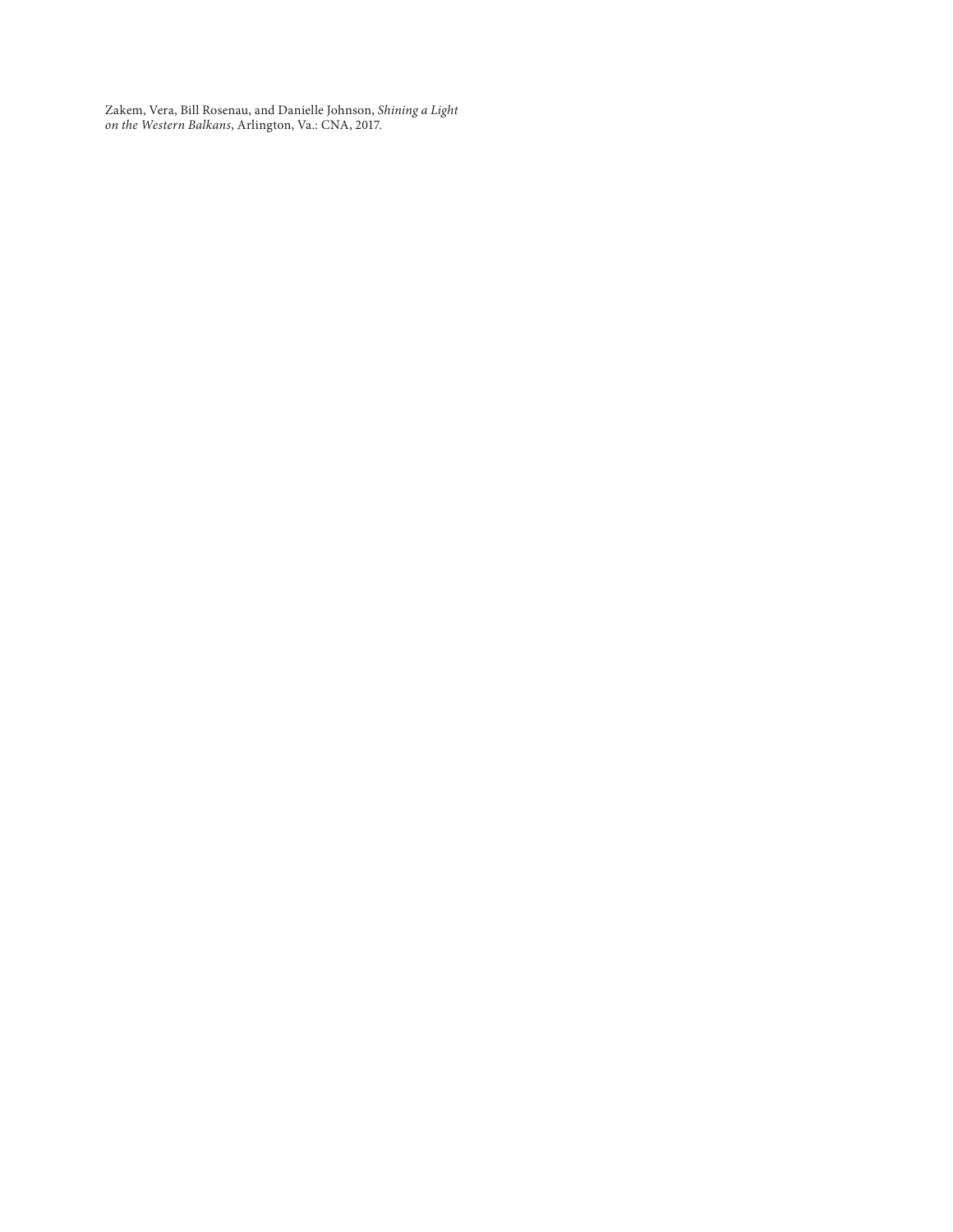Zakem, Vera, Bill Rosenau, and Danielle Johnson, *Shining a Light on the Western Balkans*, Arlington, Va.: CNA, 2017.